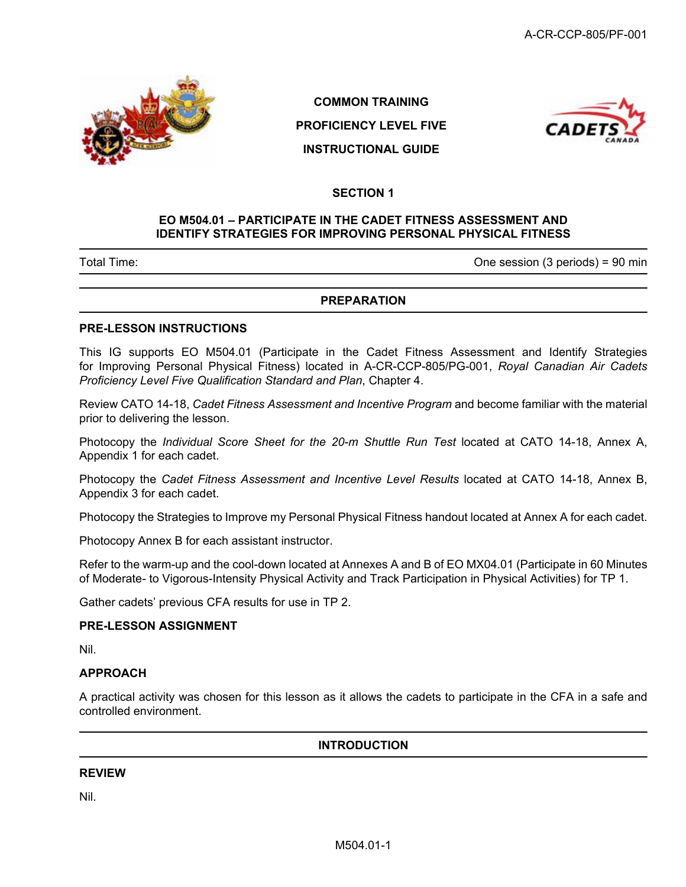

**COMMON TRAINING PROFICIENCY LEVEL FIVE INSTRUCTIONAL GUIDE**



#### **SECTION 1**

#### **EO M504.01 – PARTICIPATE IN THE CADET FITNESS ASSESSMENT AND IDENTIFY STRATEGIES FOR IMPROVING PERSONAL PHYSICAL FITNESS**

Total Time: One session (3 periods) = 90 min

#### **PREPARATION**

#### **PRE-LESSON INSTRUCTIONS**

This IG supports EO M504.01 (Participate in the Cadet Fitness Assessment and Identify Strategies for Improving Personal Physical Fitness) located in A-CR-CCP-805/PG-001, *Royal Canadian Air Cadets Proficiency Level Five Qualification Standard and Plan*, Chapter 4.

Review CATO 14-18, *Cadet Fitness Assessment and Incentive Program* and become familiar with the material prior to delivering the lesson.

Photocopy the *Individual Score Sheet for the 20-m Shuttle Run Test* located at CATO 14-18, Annex A, Appendix 1 for each cadet.

Photocopy the *Cadet Fitness Assessment and Incentive Level Results* located at CATO 14-18, Annex B, Appendix 3 for each cadet.

Photocopy the Strategies to Improve my Personal Physical Fitness handout located at Annex A for each cadet.

Photocopy Annex B for each assistant instructor.

Refer to the warm-up and the cool-down located at Annexes A and B of EO MX04.01 (Participate in 60 Minutes of Moderate- to Vigorous-Intensity Physical Activity and Track Participation in Physical Activities) for TP 1.

Gather cadets' previous CFA results for use in TP 2.

#### **PRE-LESSON ASSIGNMENT**

Nil.

#### **APPROACH**

A practical activity was chosen for this lesson as it allows the cadets to participate in the CFA in a safe and controlled environment.

#### **INTRODUCTION**

#### **REVIEW**

Nil.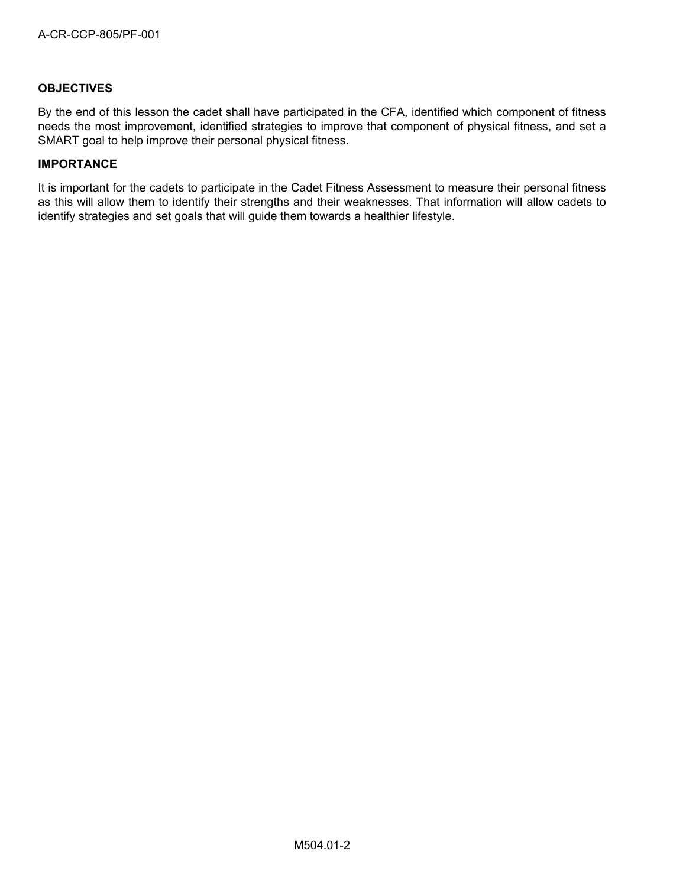#### **OBJECTIVES**

By the end of this lesson the cadet shall have participated in the CFA, identified which component of fitness needs the most improvement, identified strategies to improve that component of physical fitness, and set a SMART goal to help improve their personal physical fitness.

#### **IMPORTANCE**

It is important for the cadets to participate in the Cadet Fitness Assessment to measure their personal fitness as this will allow them to identify their strengths and their weaknesses. That information will allow cadets to identify strategies and set goals that will guide them towards a healthier lifestyle.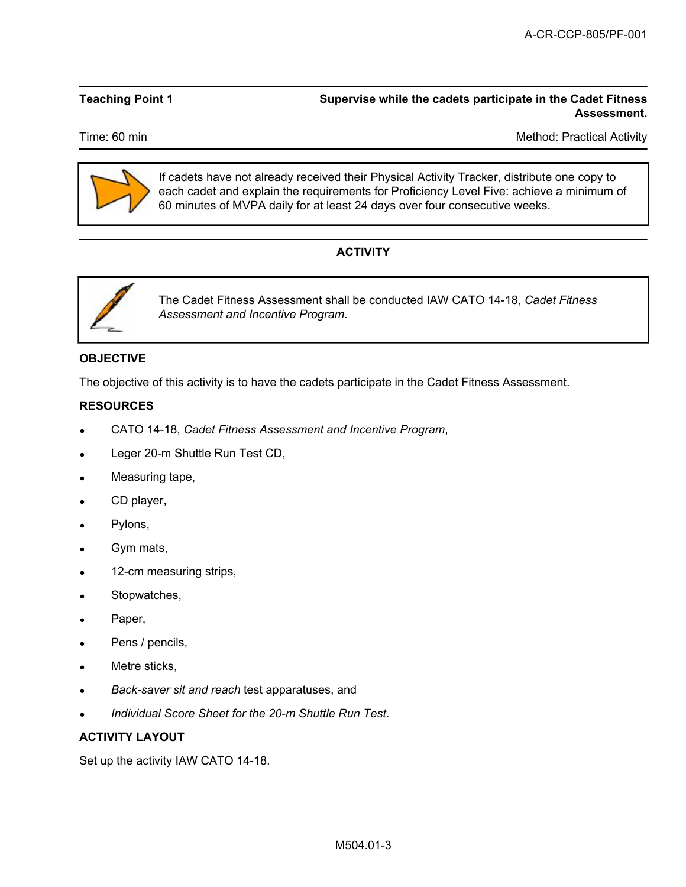#### **Teaching Point 1 Supervise while the cadets participate in the Cadet Fitness Assessment.**

Time: 60 min Method: Practical Activity



If cadets have not already received their Physical Activity Tracker, distribute one copy to each cadet and explain the requirements for Proficiency Level Five: achieve a minimum of 60 minutes of MVPA daily for at least 24 days over four consecutive weeks.

#### **ACTIVITY**



The Cadet Fitness Assessment shall be conducted IAW CATO 14-18, *Cadet Fitness Assessment and Incentive Program*.

#### **OBJECTIVE**

The objective of this activity is to have the cadets participate in the Cadet Fitness Assessment.

#### **RESOURCES**

- CATO 14-18, *Cadet Fitness Assessment and Incentive Program*,
- Leger 20-m Shuttle Run Test CD,
- Measuring tape,
- CD player,
- Pylons,  $\bullet$
- Gym mats,
- 12-cm measuring strips,
- Stopwatches,
- Paper,
- Pens / pencils,
- Metre sticks,
- *Back-saver sit and reach* test apparatuses, and
- *Individual Score Sheet for the 20-m Shuttle Run Test*.

#### **ACTIVITY LAYOUT**

Set up the activity IAW CATO 14-18.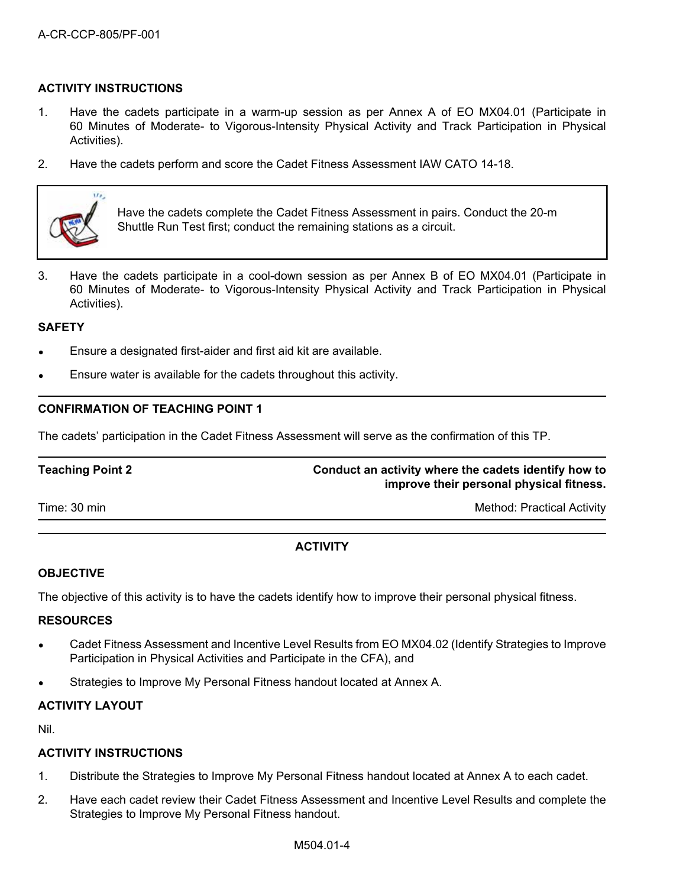#### **ACTIVITY INSTRUCTIONS**

- 1. Have the cadets participate in a warm-up session as per Annex A of EO MX04.01 (Participate in 60 Minutes of Moderate- to Vigorous-Intensity Physical Activity and Track Participation in Physical Activities).
- 2. Have the cadets perform and score the Cadet Fitness Assessment IAW CATO 14-18.



Have the cadets complete the Cadet Fitness Assessment in pairs. Conduct the 20-m Shuttle Run Test first; conduct the remaining stations as a circuit.

3. Have the cadets participate in a cool-down session as per Annex B of EO MX04.01 (Participate in 60 Minutes of Moderate- to Vigorous-Intensity Physical Activity and Track Participation in Physical Activities).

#### **SAFETY**

- Ensure a designated first-aider and first aid kit are available.
- Ensure water is available for the cadets throughout this activity.

#### **CONFIRMATION OF TEACHING POINT 1**

The cadets' participation in the Cadet Fitness Assessment will serve as the confirmation of this TP.

**Teaching Point 2 Conduct an activity where the cadets identify how to improve their personal physical fitness.**

Time: 30 min Method: Practical Activity

#### **ACTIVITY**

#### **OBJECTIVE**

The objective of this activity is to have the cadets identify how to improve their personal physical fitness.

#### **RESOURCES**

- Cadet Fitness Assessment and Incentive Level Results from EO MX04.02 (Identify Strategies to Improve Participation in Physical Activities and Participate in the CFA), and
- Strategies to Improve My Personal Fitness handout located at Annex A.

#### **ACTIVITY LAYOUT**

Nil.

#### **ACTIVITY INSTRUCTIONS**

- 1. Distribute the Strategies to Improve My Personal Fitness handout located at Annex A to each cadet.
- 2. Have each cadet review their Cadet Fitness Assessment and Incentive Level Results and complete the Strategies to Improve My Personal Fitness handout.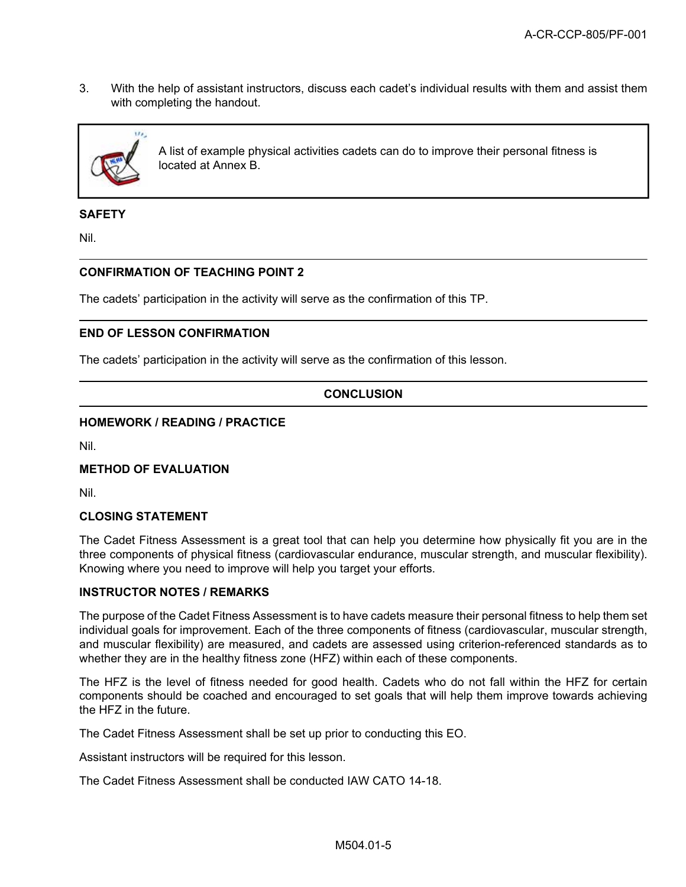3. With the help of assistant instructors, discuss each cadet's individual results with them and assist them with completing the handout.



A list of example physical activities cadets can do to improve their personal fitness is located at Annex B.

#### **SAFETY**

Nil.

#### **CONFIRMATION OF TEACHING POINT 2**

The cadets' participation in the activity will serve as the confirmation of this TP.

#### **END OF LESSON CONFIRMATION**

The cadets' participation in the activity will serve as the confirmation of this lesson.

#### **CONCLUSION**

#### **HOMEWORK / READING / PRACTICE**

Nil.

#### **METHOD OF EVALUATION**

Nil.

#### **CLOSING STATEMENT**

The Cadet Fitness Assessment is a great tool that can help you determine how physically fit you are in the three components of physical fitness (cardiovascular endurance, muscular strength, and muscular flexibility). Knowing where you need to improve will help you target your efforts.

#### **INSTRUCTOR NOTES / REMARKS**

The purpose of the Cadet Fitness Assessment is to have cadets measure their personal fitness to help them set individual goals for improvement. Each of the three components of fitness (cardiovascular, muscular strength, and muscular flexibility) are measured, and cadets are assessed using criterion-referenced standards as to whether they are in the healthy fitness zone (HFZ) within each of these components.

The HFZ is the level of fitness needed for good health. Cadets who do not fall within the HFZ for certain components should be coached and encouraged to set goals that will help them improve towards achieving the HFZ in the future.

The Cadet Fitness Assessment shall be set up prior to conducting this EO.

Assistant instructors will be required for this lesson.

The Cadet Fitness Assessment shall be conducted IAW CATO 14-18.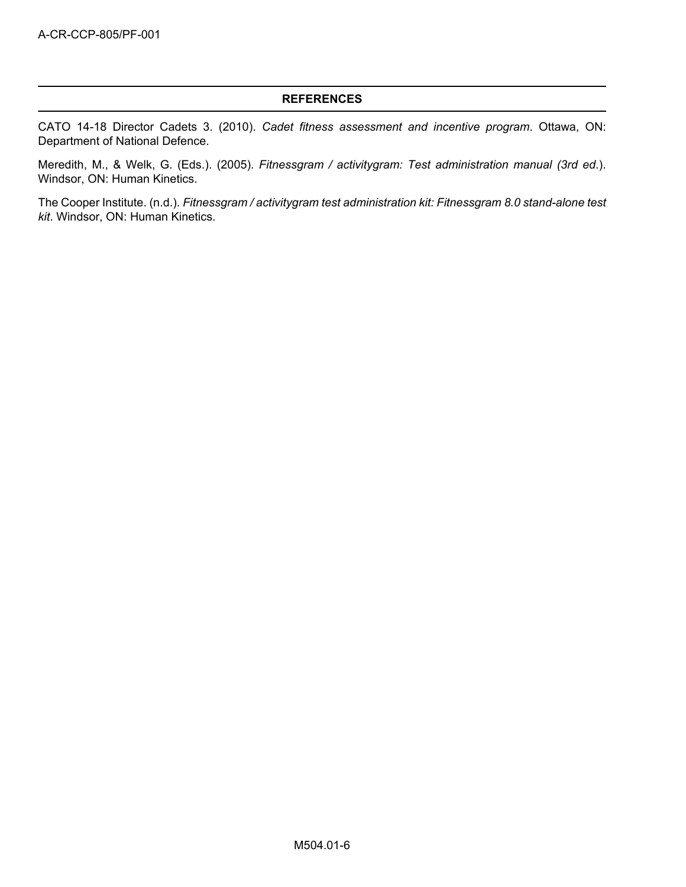#### **REFERENCES**

CATO 14-18 Director Cadets 3. (2010). *Cadet fitness assessment and incentive program*. Ottawa, ON: Department of National Defence.

Meredith, M., & Welk, G. (Eds.). (2005). *Fitnessgram / activitygram: Test administration manual (3rd ed*.). Windsor, ON: Human Kinetics.

The Cooper Institute. (n.d.). *Fitnessgram / activitygram test administration kit: Fitnessgram 8.0 stand-alone test kit*. Windsor, ON: Human Kinetics.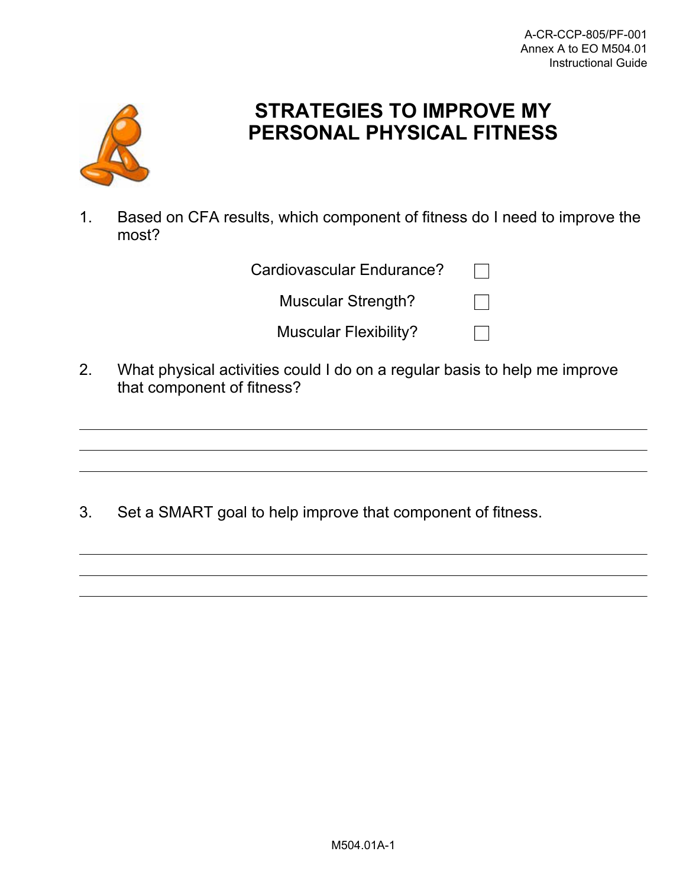

### **STRATEGIES TO IMPROVE MY PERSONAL PHYSICAL FITNESS**

1. Based on CFA results, which component of fitness do I need to improve the most?

| Cardiovascular Endurance?    |  |
|------------------------------|--|
| <b>Muscular Strength?</b>    |  |
| <b>Muscular Flexibility?</b> |  |

2. What physical activities could I do on a regular basis to help me improve that component of fitness?

3. Set a SMART goal to help improve that component of fitness.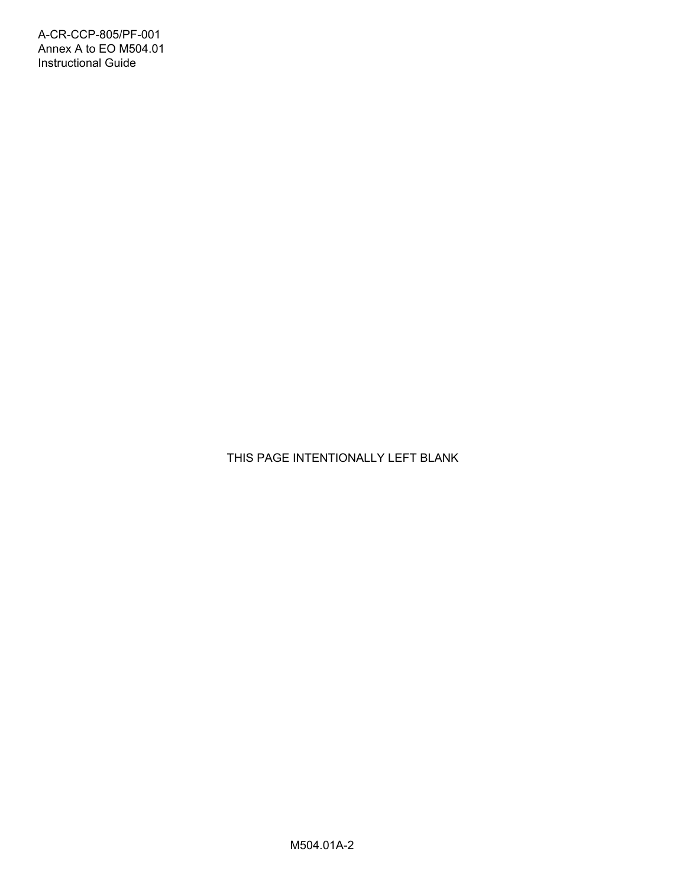THIS PAGE INTENTIONALLY LEFT BLANK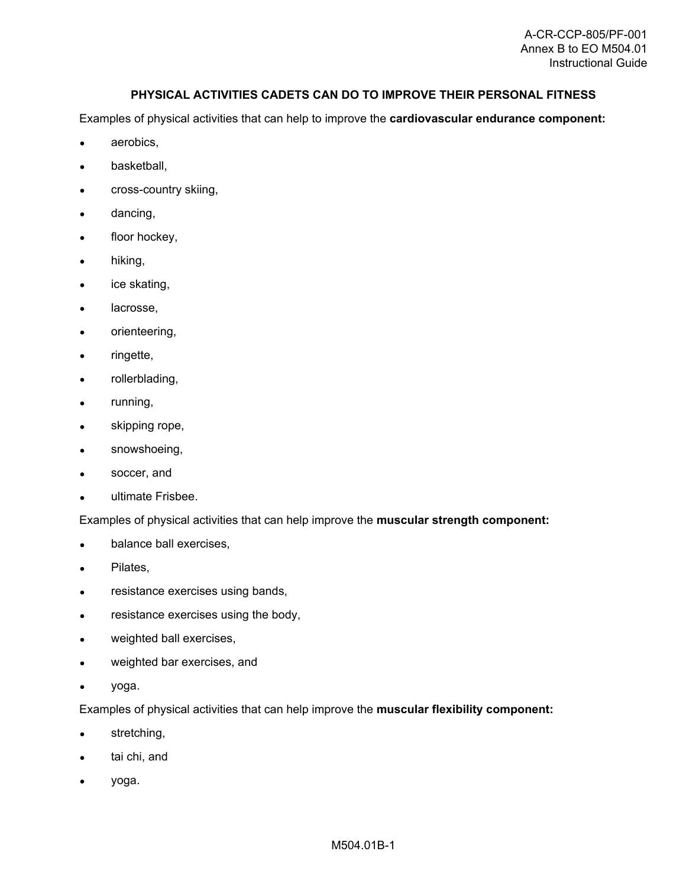#### **PHYSICAL ACTIVITIES CADETS CAN DO TO IMPROVE THEIR PERSONAL FITNESS**

Examples of physical activities that can help to improve the **cardiovascular endurance component:**

- aerobics,
- basketball,
- cross-country skiing,
- dancing,  $\bullet$
- floor hockey,  $\bullet$
- hiking,  $\bullet$
- ice skating,  $\bullet$
- lacrosse,  $\bullet$
- orienteering,  $\bullet$
- ringette,  $\bullet$
- rollerblading,  $\bullet$
- running,  $\bullet$
- skipping rope,  $\bullet$
- snowshoeing,
- soccer, and
- ultimate Frisbee.

Examples of physical activities that can help improve the **muscular strength component:**

- balance ball exercises,
- Pilates,  $\bullet$
- resistance exercises using bands,  $\bullet$
- resistance exercises using the body,  $\bullet$
- weighted ball exercises,  $\bullet$
- weighted bar exercises, and  $\bullet$
- yoga.

Examples of physical activities that can help improve the **muscular flexibility component:**

- stretching,  $\bullet$
- tai chi, and  $\bullet$
- $\bullet$ yoga.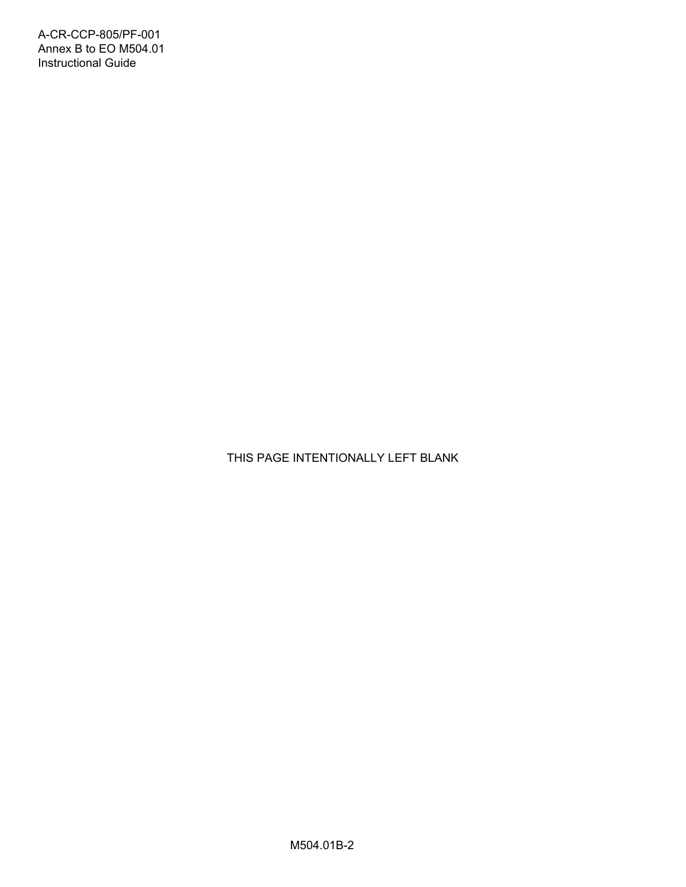THIS PAGE INTENTIONALLY LEFT BLANK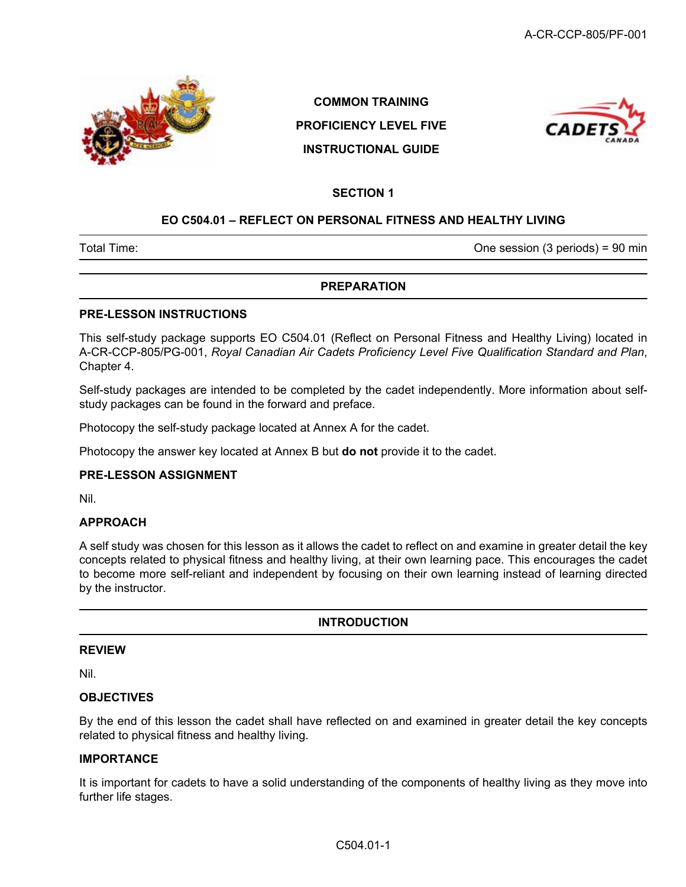

**COMMON TRAINING PROFICIENCY LEVEL FIVE INSTRUCTIONAL GUIDE**



#### **SECTION 1**

#### **EO C504.01 – REFLECT ON PERSONAL FITNESS AND HEALTHY LIVING**

Total Time: One session (3 periods) = 90 min

#### **PREPARATION**

#### **PRE-LESSON INSTRUCTIONS**

This self-study package supports EO C504.01 (Reflect on Personal Fitness and Healthy Living) located in A-CR-CCP-805/PG-001, *Royal Canadian Air Cadets Proficiency Level Five Qualification Standard and Plan*, Chapter 4.

Self-study packages are intended to be completed by the cadet independently. More information about selfstudy packages can be found in the forward and preface.

Photocopy the self-study package located at Annex A for the cadet.

Photocopy the answer key located at Annex B but **do not** provide it to the cadet.

#### **PRE-LESSON ASSIGNMENT**

Nil.

#### **APPROACH**

A self study was chosen for this lesson as it allows the cadet to reflect on and examine in greater detail the key concepts related to physical fitness and healthy living, at their own learning pace. This encourages the cadet to become more self-reliant and independent by focusing on their own learning instead of learning directed by the instructor.

#### **INTRODUCTION**

#### **REVIEW**

Nil.

#### **OBJECTIVES**

By the end of this lesson the cadet shall have reflected on and examined in greater detail the key concepts related to physical fitness and healthy living.

#### **IMPORTANCE**

It is important for cadets to have a solid understanding of the components of healthy living as they move into further life stages.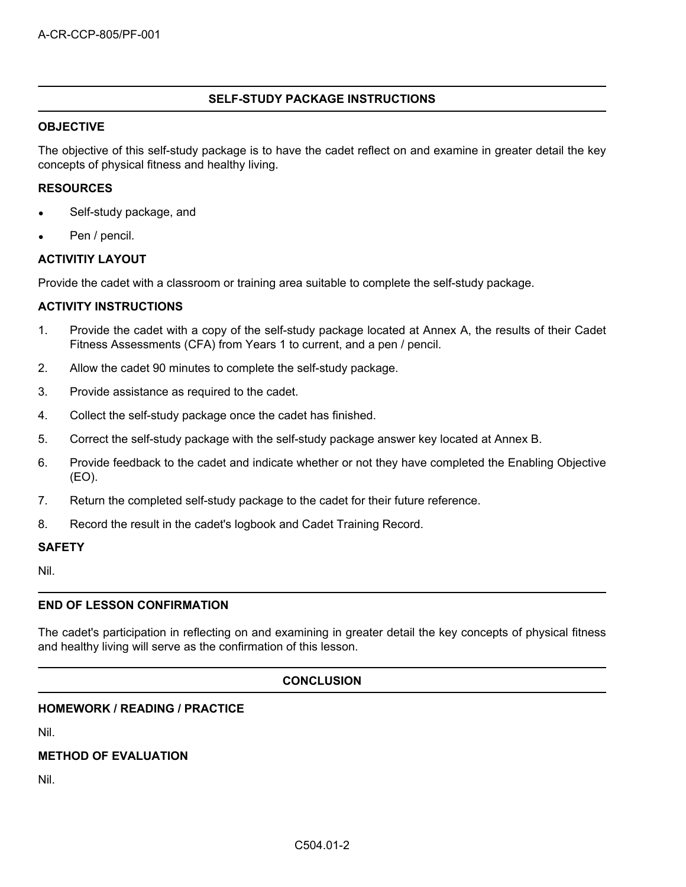#### **SELF-STUDY PACKAGE INSTRUCTIONS**

#### **OBJECTIVE**

The objective of this self-study package is to have the cadet reflect on and examine in greater detail the key concepts of physical fitness and healthy living.

#### **RESOURCES**

- Self-study package, and
- Pen / pencil.

#### **ACTIVITIY LAYOUT**

Provide the cadet with a classroom or training area suitable to complete the self-study package.

#### **ACTIVITY INSTRUCTIONS**

- 1. Provide the cadet with a copy of the self-study package located at Annex A, the results of their Cadet Fitness Assessments (CFA) from Years 1 to current, and a pen / pencil.
- 2. Allow the cadet 90 minutes to complete the self-study package.
- 3. Provide assistance as required to the cadet.
- 4. Collect the self-study package once the cadet has finished.
- 5. Correct the self-study package with the self-study package answer key located at Annex B.
- 6. Provide feedback to the cadet and indicate whether or not they have completed the Enabling Objective (EO).
- 7. Return the completed self-study package to the cadet for their future reference.
- 8. Record the result in the cadet's logbook and Cadet Training Record.

#### **SAFETY**

Nil.

#### **END OF LESSON CONFIRMATION**

The cadet's participation in reflecting on and examining in greater detail the key concepts of physical fitness and healthy living will serve as the confirmation of this lesson.

#### **CONCLUSION**

#### **HOMEWORK / READING / PRACTICE**

Nil.

#### **METHOD OF EVALUATION**

Nil.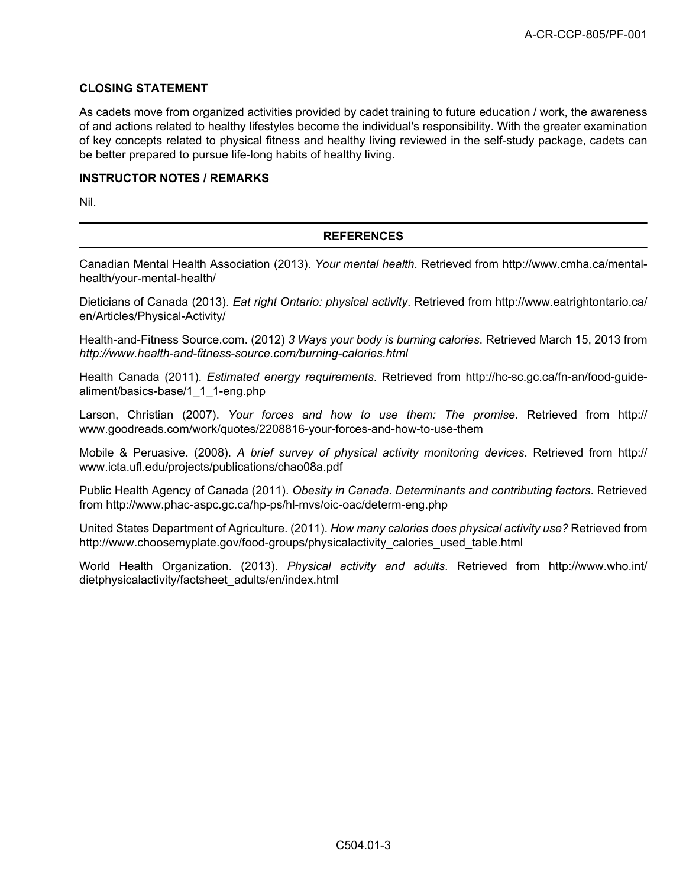#### **CLOSING STATEMENT**

As cadets move from organized activities provided by cadet training to future education / work, the awareness of and actions related to healthy lifestyles become the individual's responsibility. With the greater examination of key concepts related to physical fitness and healthy living reviewed in the self-study package, cadets can be better prepared to pursue life-long habits of healthy living.

#### **INSTRUCTOR NOTES / REMARKS**

Nil.

#### **REFERENCES**

Canadian Mental Health Association (2013). *Your mental health*. Retrieved from http://www.cmha.ca/mentalhealth/your-mental-health/

Dieticians of Canada (2013). *Eat right Ontario: physical activity*. Retrieved from http://www.eatrightontario.ca/ en/Articles/Physical-Activity/

Health-and-Fitness Source.com. (2012) *3 Ways your body is burning calories*. Retrieved March 15, 2013 from *http://www.health-and-fitness-source.com/burning-calories.html*

Health Canada (2011). *Estimated energy requirements*. Retrieved from http://hc-sc.gc.ca/fn-an/food-guidealiment/basics-base/1\_1\_1-eng.php

Larson, Christian (2007). *Your forces and how to use them: The promise*. Retrieved from http:// www.goodreads.com/work/quotes/2208816-your-forces-and-how-to-use-them

Mobile & Peruasive. (2008). *A brief survey of physical activity monitoring devices*. Retrieved from http:// www.icta.ufl.edu/projects/publications/chao08a.pdf

Public Health Agency of Canada (2011). *Obesity in Canada. Determinants and contributing factors*. Retrieved from http://www.phac-aspc.gc.ca/hp-ps/hl-mvs/oic-oac/determ-eng.php

United States Department of Agriculture. (2011). *How many calories does physical activity use?* Retrieved from http://www.choosemyplate.gov/food-groups/physicalactivity\_calories\_used\_table.html

World Health Organization. (2013). *Physical activity and adults*. Retrieved from http://www.who.int/ dietphysicalactivity/factsheet\_adults/en/index.html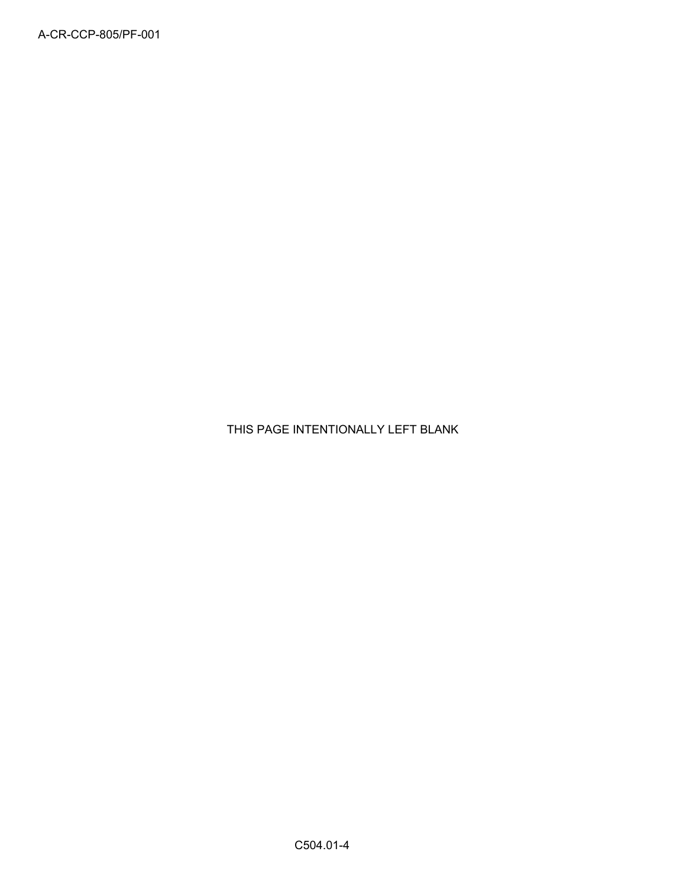THIS PAGE INTENTIONALLY LEFT BLANK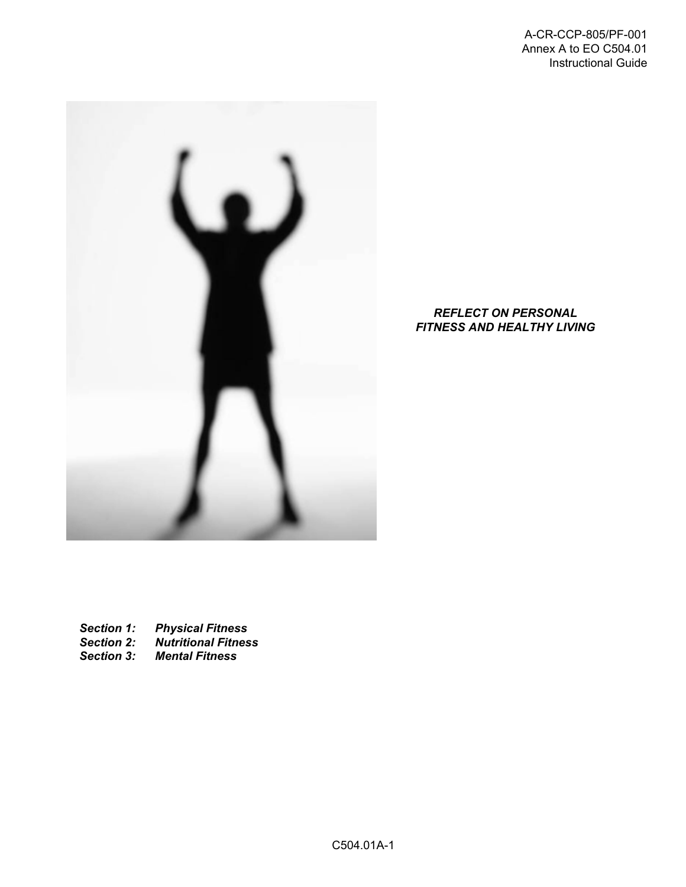

#### *REFLECT ON PERSONAL FITNESS AND HEALTHY LIVING*

*Section 1: Physical Fitness Section 2: Nutritional Fitness*

*Section 3: Mental Fitness*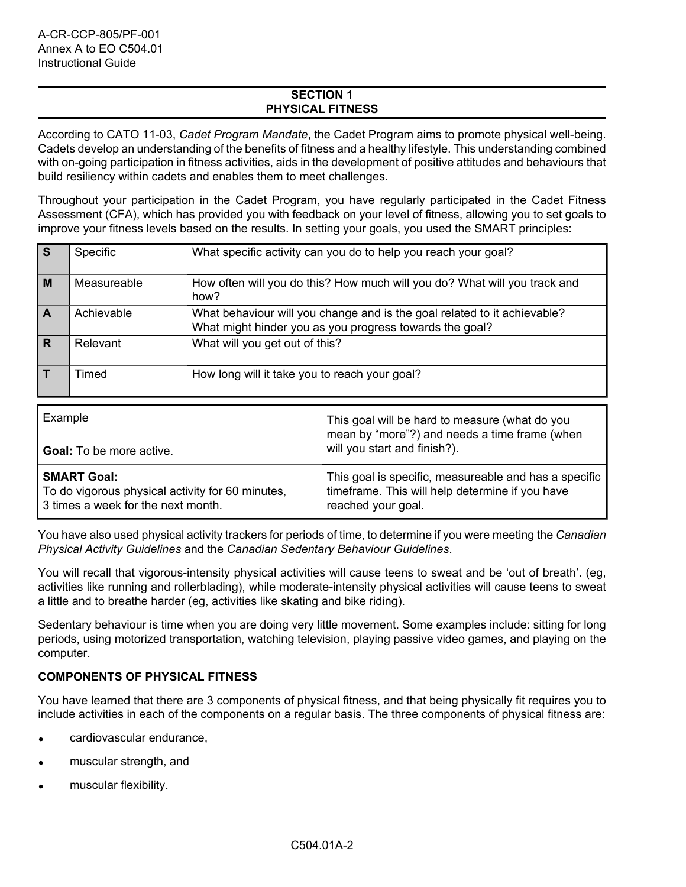#### **SECTION 1 PHYSICAL FITNESS**

According to CATO 11-03, *Cadet Program Mandate*, the Cadet Program aims to promote physical well-being. Cadets develop an understanding of the benefits of fitness and a healthy lifestyle. This understanding combined with on-going participation in fitness activities, aids in the development of positive attitudes and behaviours that build resiliency within cadets and enables them to meet challenges.

Throughout your participation in the Cadet Program, you have regularly participated in the Cadet Fitness Assessment (CFA), which has provided you with feedback on your level of fitness, allowing you to set goals to improve your fitness levels based on the results. In setting your goals, you used the SMART principles:

| -S | <b>Specific</b> | What specific activity can you do to help you reach your goal?                                                                      |
|----|-----------------|-------------------------------------------------------------------------------------------------------------------------------------|
| M  | Measureable     | How often will you do this? How much will you do? What will you track and<br>how?                                                   |
| A  | Achievable      | What behaviour will you change and is the goal related to it achievable?<br>What might hinder you as you progress towards the goal? |
| R  | Relevant        | What will you get out of this?                                                                                                      |
|    | Timed           | How long will it take you to reach your goal?                                                                                       |

| Example<br><b>Goal:</b> To be more active.       | This goal will be hard to measure (what do you<br>mean by "more"?) and needs a time frame (when<br>will you start and finish?). |
|--------------------------------------------------|---------------------------------------------------------------------------------------------------------------------------------|
| <b>SMART Goal:</b>                               | This goal is specific, measureable and has a specific                                                                           |
| To do vigorous physical activity for 60 minutes, | timeframe. This will help determine if you have                                                                                 |
| 3 times a week for the next month.               | reached your goal.                                                                                                              |

You have also used physical activity trackers for periods of time, to determine if you were meeting the *Canadian Physical Activity Guidelines* and the *Canadian Sedentary Behaviour Guidelines*.

You will recall that vigorous-intensity physical activities will cause teens to sweat and be 'out of breath'. (eg, activities like running and rollerblading), while moderate-intensity physical activities will cause teens to sweat a little and to breathe harder (eg, activities like skating and bike riding).

Sedentary behaviour is time when you are doing very little movement. Some examples include: sitting for long periods, using motorized transportation, watching television, playing passive video games, and playing on the computer.

#### **COMPONENTS OF PHYSICAL FITNESS**

You have learned that there are 3 components of physical fitness, and that being physically fit requires you to include activities in each of the components on a regular basis. The three components of physical fitness are:

- cardiovascular endurance,
- muscular strength, and
- muscular flexibility.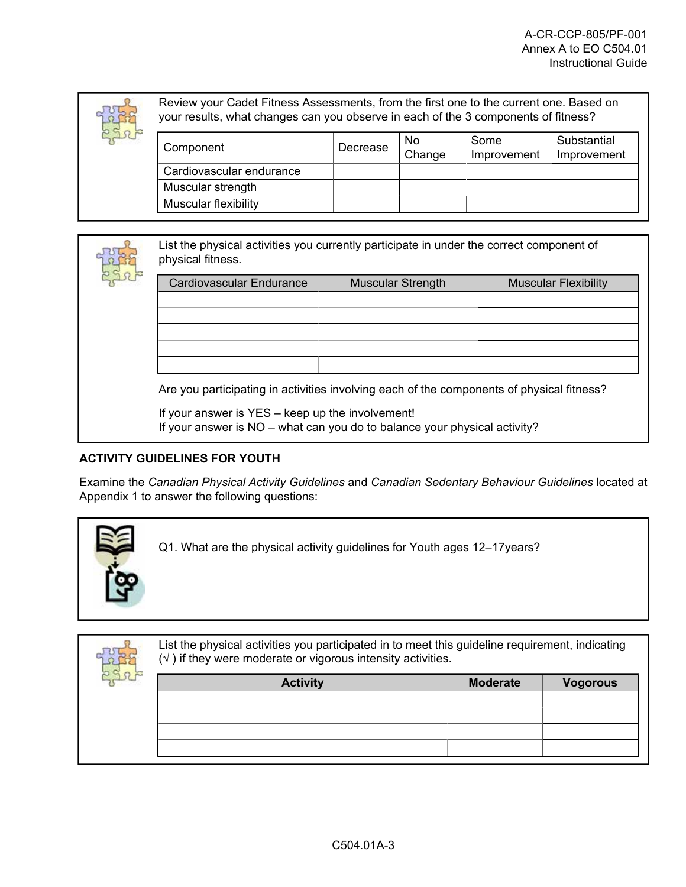|  | Review your Cadet Fitness Assessments, from the first one to the current one. Based on<br>your results, what changes can you observe in each of the 3 components of fitness? |          |              |                     |                            |
|--|------------------------------------------------------------------------------------------------------------------------------------------------------------------------------|----------|--------------|---------------------|----------------------------|
|  | Component                                                                                                                                                                    | Decrease | No<br>Change | Some<br>Improvement | Substantial<br>Improvement |
|  | Cardiovascular endurance                                                                                                                                                     |          |              |                     |                            |
|  | Muscular strength                                                                                                                                                            |          |              |                     |                            |
|  | Muscular flexibility                                                                                                                                                         |          |              |                     |                            |

| List the physical activities you currently participate in under the correct component of<br>physical fitness.                 |                          |                             |
|-------------------------------------------------------------------------------------------------------------------------------|--------------------------|-----------------------------|
| Cardiovascular Endurance                                                                                                      | <b>Muscular Strength</b> | <b>Muscular Flexibility</b> |
|                                                                                                                               |                          |                             |
|                                                                                                                               |                          |                             |
|                                                                                                                               |                          |                             |
|                                                                                                                               |                          |                             |
|                                                                                                                               |                          |                             |
| Are you participating in activities involving each of the components of physical fitness?                                     |                          |                             |
| If your answer is YES - keep up the involvement!<br>If your answer is NO - what can you do to balance your physical activity? |                          |                             |

#### **ACTIVITY GUIDELINES FOR YOUTH**

Examine the *Canadian Physical Activity Guidelines* and *Canadian Sedentary Behaviour Guidelines* located at Appendix 1 to answer the following questions:



Q1. What are the physical activity guidelines for Youth ages 12–17years?

| List the physical activities you participated in to meet this guideline requirement, indicating<br>$(\sqrt{})$ if they were moderate or vigorous intensity activities. |                 |                 |                 |
|------------------------------------------------------------------------------------------------------------------------------------------------------------------------|-----------------|-----------------|-----------------|
|                                                                                                                                                                        | <b>Activity</b> | <b>Moderate</b> | <b>Vogorous</b> |
|                                                                                                                                                                        |                 |                 |                 |
|                                                                                                                                                                        |                 |                 |                 |
|                                                                                                                                                                        |                 |                 |                 |
|                                                                                                                                                                        |                 |                 |                 |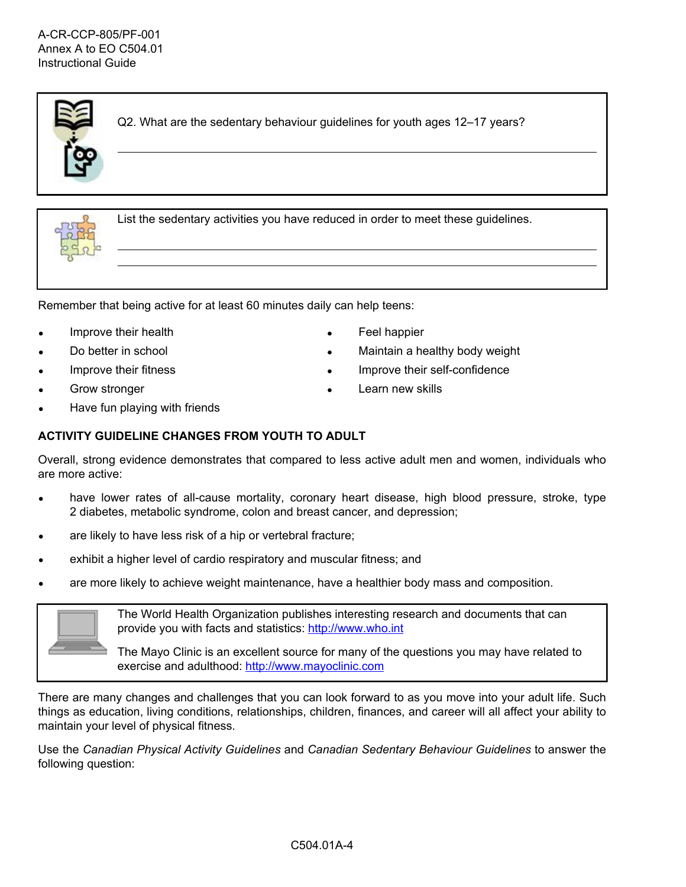Q2. What are the sedentary behaviour guidelines for youth ages 12–17 years? List the sedentary activities you have reduced in order to meet these guidelines.

Remember that being active for at least 60 minutes daily can help teens:

- Improve their health
- Do better in school
- Improve their fitness
- Grow stronger
- Have fun playing with friends

#### **ACTIVITY GUIDELINE CHANGES FROM YOUTH TO ADULT**

Overall, strong evidence demonstrates that compared to less active adult men and women, individuals who are more active:

- have lower rates of all-cause mortality, coronary heart disease, high blood pressure, stroke, type 2 diabetes, metabolic syndrome, colon and breast cancer, and depression;
- are likely to have less risk of a hip or vertebral fracture;
- exhibit a higher level of cardio respiratory and muscular fitness; and
- are more likely to achieve weight maintenance, have a healthier body mass and composition.



The World Health Organization publishes interesting research and documents that can provide you with facts and statistics: http://www.who.int

The Mayo Clinic is an excellent source for many of the questions you may have related to exercise and adulthood: http://www.mayoclinic.com

There are many changes and challenges that you can look forward to as you move into your adult life. Such things as education, living conditions, relationships, children, finances, and career will all affect your ability to maintain your level of physical fitness.

Use the *Canadian Physical Activity Guidelines* and *Canadian Sedentary Behaviour Guidelines* to answer the following question:

- Feel happier
- Maintain a healthy body weight
- Improve their self-confidence
- Learn new skills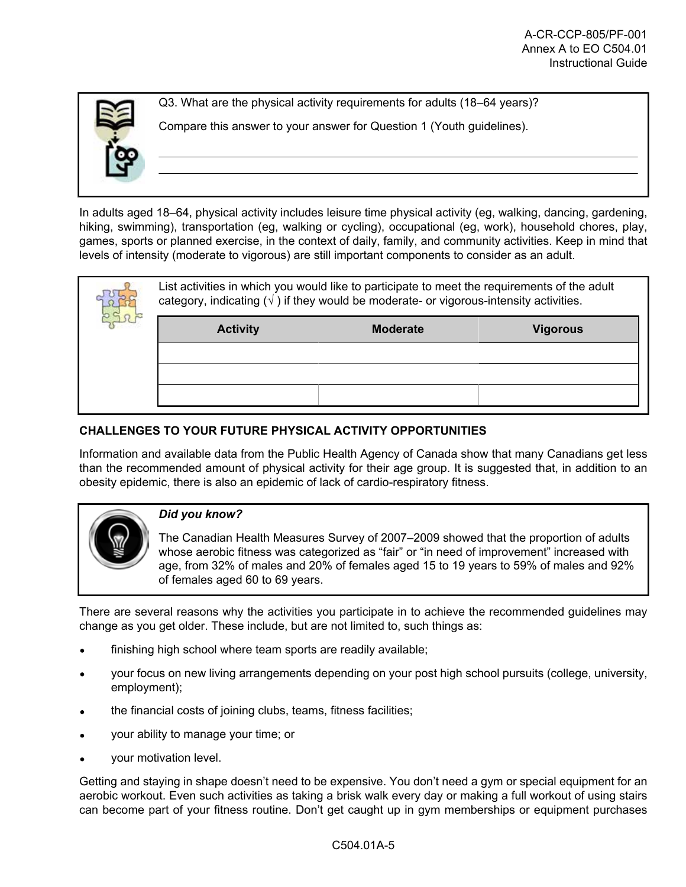

In adults aged 18–64, physical activity includes leisure time physical activity (eg, walking, dancing, gardening, hiking, swimming), transportation (eg, walking or cycling), occupational (eg, work), household chores, play, games, sports or planned exercise, in the context of daily, family, and community activities. Keep in mind that levels of intensity (moderate to vigorous) are still important components to consider as an adult.

| List activities in which you would like to participate to meet the requirements of the adult<br>category, indicating $(\sqrt{})$ if they would be moderate- or vigorous-intensity activities. |                 |                 |
|-----------------------------------------------------------------------------------------------------------------------------------------------------------------------------------------------|-----------------|-----------------|
| <b>Activity</b>                                                                                                                                                                               | <b>Moderate</b> | <b>Vigorous</b> |
|                                                                                                                                                                                               |                 |                 |
|                                                                                                                                                                                               |                 |                 |
|                                                                                                                                                                                               |                 |                 |

#### **CHALLENGES TO YOUR FUTURE PHYSICAL ACTIVITY OPPORTUNITIES**

Information and available data from the Public Health Agency of Canada show that many Canadians get less than the recommended amount of physical activity for their age group. It is suggested that, in addition to an obesity epidemic, there is also an epidemic of lack of cardio-respiratory fitness.



#### *Did you know?*

The Canadian Health Measures Survey of 2007–2009 showed that the proportion of adults whose aerobic fitness was categorized as "fair" or "in need of improvement" increased with age, from 32% of males and 20% of females aged 15 to 19 years to 59% of males and 92% of females aged 60 to 69 years.

There are several reasons why the activities you participate in to achieve the recommended guidelines may change as you get older. These include, but are not limited to, such things as:

- finishing high school where team sports are readily available;
- your focus on new living arrangements depending on your post high school pursuits (college, university, employment);
- the financial costs of joining clubs, teams, fitness facilities;
- your ability to manage your time; or
- your motivation level.

Getting and staying in shape doesn't need to be expensive. You don't need a gym or special equipment for an aerobic workout. Even such activities as taking a brisk walk every day or making a full workout of using stairs can become part of your fitness routine. Don't get caught up in gym memberships or equipment purchases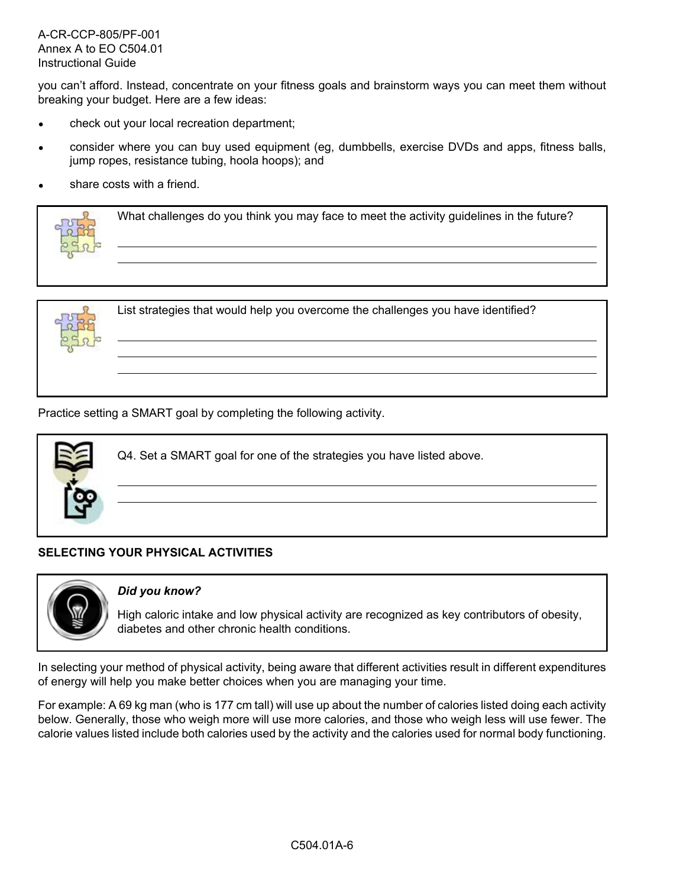A-CR-CCP-805/PF-001 Annex A to EO C504.01 Instructional Guide

you can't afford. Instead, concentrate on your fitness goals and brainstorm ways you can meet them without breaking your budget. Here are a few ideas:

- check out your local recreation department;
- consider where you can buy used equipment (eg, dumbbells, exercise DVDs and apps, fitness balls, jump ropes, resistance tubing, hoola hoops); and
- share costs with a friend.



What challenges do you think you may face to meet the activity guidelines in the future?

List strategies that would help you overcome the challenges you have identified?

Practice setting a SMART goal by completing the following activity.



Q4. Set a SMART goal for one of the strategies you have listed above.

#### **SELECTING YOUR PHYSICAL ACTIVITIES**



#### *Did you know?*

High caloric intake and low physical activity are recognized as key contributors of obesity, diabetes and other chronic health conditions.

In selecting your method of physical activity, being aware that different activities result in different expenditures of energy will help you make better choices when you are managing your time.

For example: A 69 kg man (who is 177 cm tall) will use up about the number of calories listed doing each activity below. Generally, those who weigh more will use more calories, and those who weigh less will use fewer. The calorie values listed include both calories used by the activity and the calories used for normal body functioning.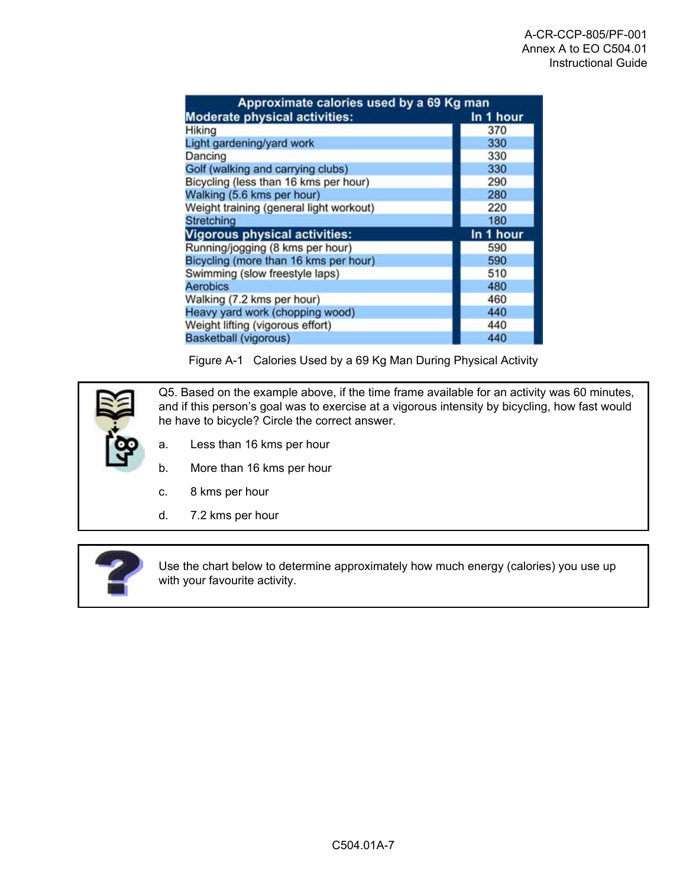| Approximate calories used by a 69 Kg man       |           |  |
|------------------------------------------------|-----------|--|
| <b>Moderate physical activities:</b>           | In 1 hour |  |
| Hiking                                         | 370       |  |
| Light gardening/yard work                      | 330       |  |
| Dancing                                        | 330       |  |
| Golf (walking and carrying clubs)              | 330       |  |
| Bicycling (less than 16 kms per hour)          | 290       |  |
| Walking (5.6 kms per hour)                     | 280       |  |
| Weight training (general light workout)<br>220 |           |  |
| Stretching<br>180                              |           |  |
| <b>Vigorous physical activities:</b>           | In 1 hour |  |
| Running/jogging (8 kms per hour)               | 590       |  |
| Bicycling (more than 16 kms per hour)          | 590       |  |
| Swimming (slow freestyle laps)                 | 510       |  |
| <b>Aerobics</b>                                | 480       |  |
| Walking (7.2 kms per hour)                     | 460       |  |
| Heavy yard work (chopping wood)                | 440       |  |
| Weight lifting (vigorous effort)               | 440       |  |
| <b>Basketball (vigorous)</b>                   | 440       |  |

Figure A-1 Calories Used by a 69 Kg Man During Physical Activity



Q5. Based on the example above, if the time frame available for an activity was 60 minutes, and if this person's goal was to exercise at a vigorous intensity by bicycling, how fast would he have to bicycle? Circle the correct answer.

- a. Less than 16 kms per hour
- b. More than 16 kms per hour
- c. 8 kms per hour
- d. 7.2 kms per hour



Use the chart below to determine approximately how much energy (calories) you use up with your favourite activity.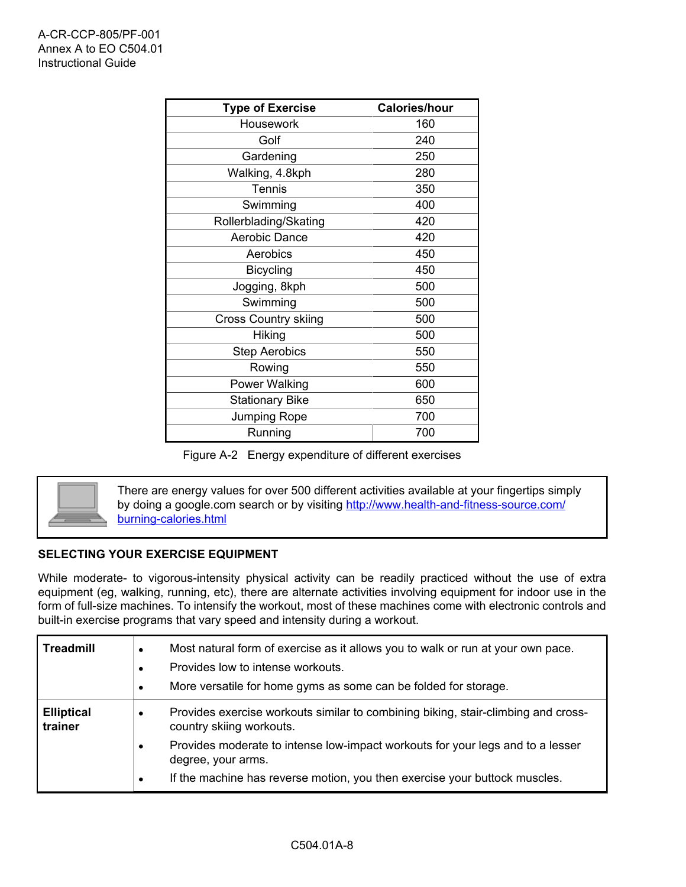| <b>Type of Exercise</b>     | <b>Calories/hour</b> |
|-----------------------------|----------------------|
| Housework                   | 160                  |
| Golf                        | 240                  |
| Gardening                   | 250                  |
| Walking, 4.8kph             | 280                  |
| Tennis                      | 350                  |
| Swimming                    | 400                  |
| Rollerblading/Skating       | 420                  |
| Aerobic Dance               | 420                  |
| Aerobics                    | 450                  |
| <b>Bicycling</b>            | 450                  |
| Jogging, 8kph               | 500                  |
| Swimming                    | 500                  |
| <b>Cross Country skiing</b> | 500                  |
| Hiking                      | 500                  |
| <b>Step Aerobics</b>        | 550                  |
| Rowing                      | 550                  |
| Power Walking               | 600                  |
| <b>Stationary Bike</b>      | 650                  |
| <b>Jumping Rope</b>         | 700                  |
| Running                     | 700                  |

Figure A-2 Energy expenditure of different exercises



There are energy values for over 500 different activities available at your fingertips simply by doing a google.com search or by visiting http://www.health-and-fitness-source.com/ burning-calories.html

#### **SELECTING YOUR EXERCISE EQUIPMENT**

While moderate- to vigorous-intensity physical activity can be readily practiced without the use of extra equipment (eg, walking, running, etc), there are alternate activities involving equipment for indoor use in the form of full-size machines. To intensify the workout, most of these machines come with electronic controls and built-in exercise programs that vary speed and intensity during a workout.

| <b>Treadmill</b>             | ٠         | Most natural form of exercise as it allows you to walk or run at your own pace.<br>Provides low to intense workouts.<br>More versatile for home gyms as some can be folded for storage. |
|------------------------------|-----------|-----------------------------------------------------------------------------------------------------------------------------------------------------------------------------------------|
| <b>Elliptical</b><br>trainer | ٠         | Provides exercise workouts similar to combining biking, stair-climbing and cross-<br>country skiing workouts.                                                                           |
|                              |           | Provides moderate to intense low-impact workouts for your legs and to a lesser<br>degree, your arms.                                                                                    |
|                              | $\bullet$ | If the machine has reverse motion, you then exercise your buttock muscles.                                                                                                              |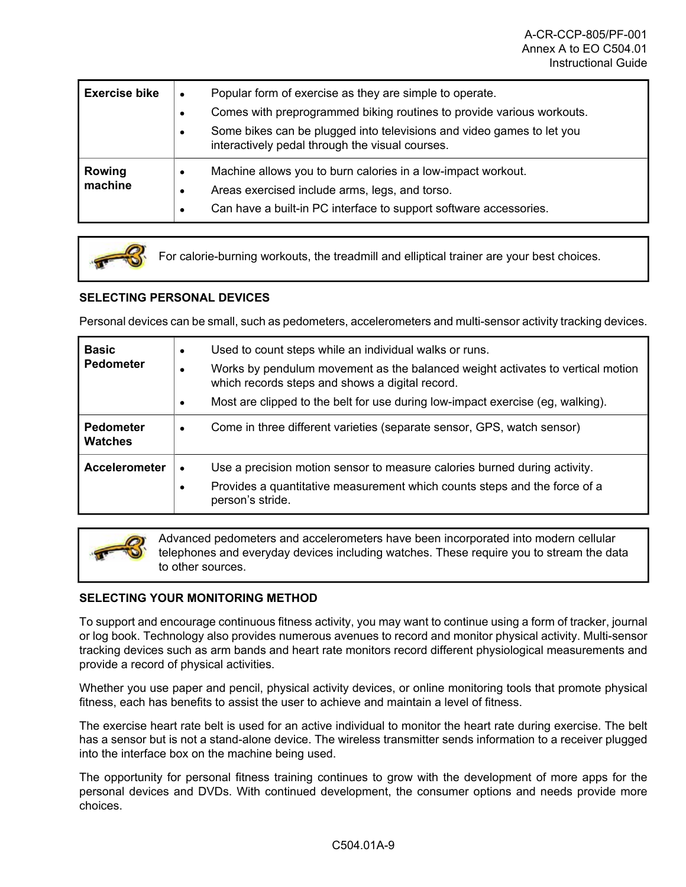#### A-CR-CCP-805/PF-001 Annex A to EO C504.01 Instructional Guide

| <b>Exercise bike</b>     | Popular form of exercise as they are simple to operate.<br>Comes with preprogrammed biking routines to provide various workouts.<br>Some bikes can be plugged into televisions and video games to let you<br>interactively pedal through the visual courses. |
|--------------------------|--------------------------------------------------------------------------------------------------------------------------------------------------------------------------------------------------------------------------------------------------------------|
| <b>Rowing</b><br>machine | Machine allows you to burn calories in a low-impact workout.<br>$\bullet$<br>Areas exercised include arms, legs, and torso.<br>٠<br>Can have a built-in PC interface to support software accessories.<br>٠                                                   |



For calorie-burning workouts, the treadmill and elliptical trainer are your best choices.

#### **SELECTING PERSONAL DEVICES**

Personal devices can be small, such as pedometers, accelerometers and multi-sensor activity tracking devices.

| <b>Basic</b><br><b>Pedometer</b>   | $\bullet$<br>٠<br>$\bullet$ | Used to count steps while an individual walks or runs.<br>Works by pendulum movement as the balanced weight activates to vertical motion<br>which records steps and shows a digital record.<br>Most are clipped to the belt for use during low-impact exercise (eg, walking). |
|------------------------------------|-----------------------------|-------------------------------------------------------------------------------------------------------------------------------------------------------------------------------------------------------------------------------------------------------------------------------|
| <b>Pedometer</b><br><b>Watches</b> | $\bullet$                   | Come in three different varieties (separate sensor, GPS, watch sensor)                                                                                                                                                                                                        |
| <b>Accelerometer</b>               | $\bullet$<br>٠              | Use a precision motion sensor to measure calories burned during activity.<br>Provides a quantitative measurement which counts steps and the force of a<br>person's stride.                                                                                                    |



Advanced pedometers and accelerometers have been incorporated into modern cellular telephones and everyday devices including watches. These require you to stream the data to other sources.

#### **SELECTING YOUR MONITORING METHOD**

To support and encourage continuous fitness activity, you may want to continue using a form of tracker, journal or log book. Technology also provides numerous avenues to record and monitor physical activity. Multi-sensor tracking devices such as arm bands and heart rate monitors record different physiological measurements and provide a record of physical activities.

Whether you use paper and pencil, physical activity devices, or online monitoring tools that promote physical fitness, each has benefits to assist the user to achieve and maintain a level of fitness.

The exercise heart rate belt is used for an active individual to monitor the heart rate during exercise. The belt has a sensor but is not a stand-alone device. The wireless transmitter sends information to a receiver plugged into the interface box on the machine being used.

The opportunity for personal fitness training continues to grow with the development of more apps for the personal devices and DVDs. With continued development, the consumer options and needs provide more choices.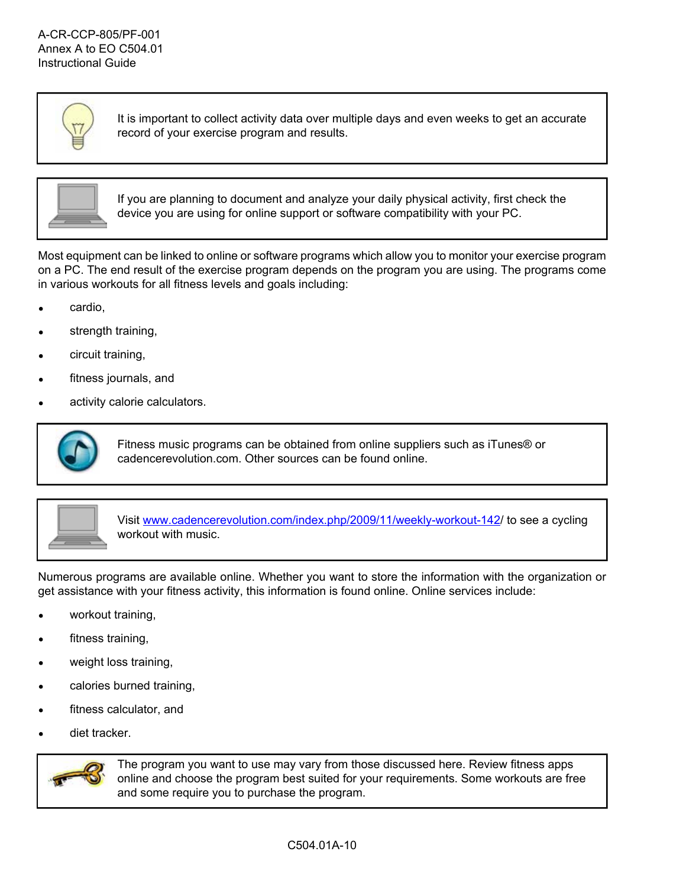

It is important to collect activity data over multiple days and even weeks to get an accurate record of your exercise program and results.



If you are planning to document and analyze your daily physical activity, first check the device you are using for online support or software compatibility with your PC.

Most equipment can be linked to online or software programs which allow you to monitor your exercise program on a PC. The end result of the exercise program depends on the program you are using. The programs come in various workouts for all fitness levels and goals including:

- cardio,
- strength training,
- circuit training,
- fitness journals, and
- activity calorie calculators.



Fitness music programs can be obtained from online suppliers such as iTunes® or cadencerevolution.com. Other sources can be found online.



Visit www.cadencerevolution.com/index.php/2009/11/weekly-workout-142/ to see a cycling workout with music.

Numerous programs are available online. Whether you want to store the information with the organization or get assistance with your fitness activity, this information is found online. Online services include:

- workout training,
- fitness training,
- weight loss training,
- calories burned training,
- fitness calculator, and
- diet tracker.



The program you want to use may vary from those discussed here. Review fitness apps online and choose the program best suited for your requirements. Some workouts are free and some require you to purchase the program.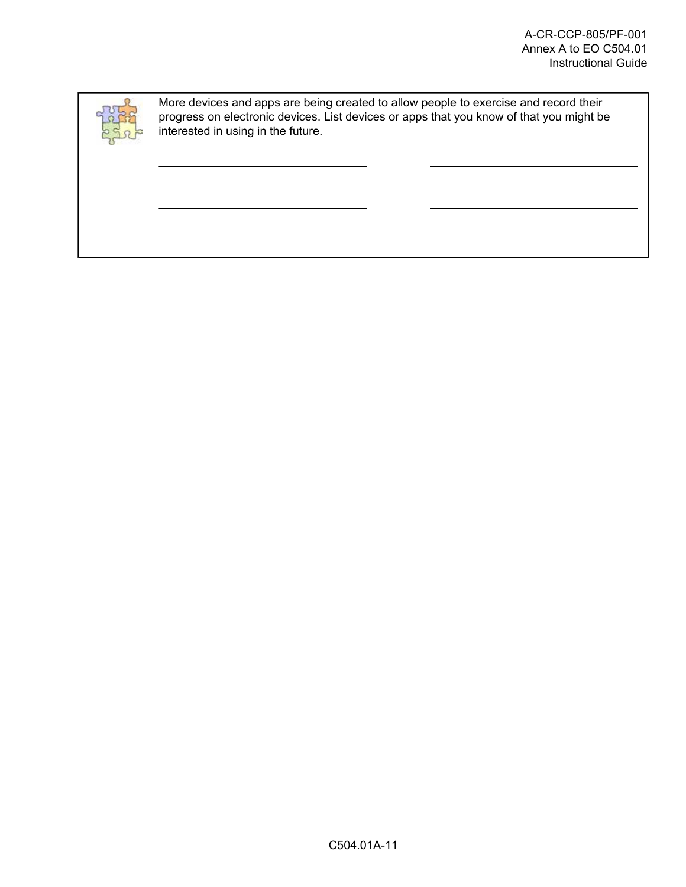

More devices and apps are being created to allow people to exercise and record their progress on electronic devices. List devices or apps that you know of that you might be interested in using in the future.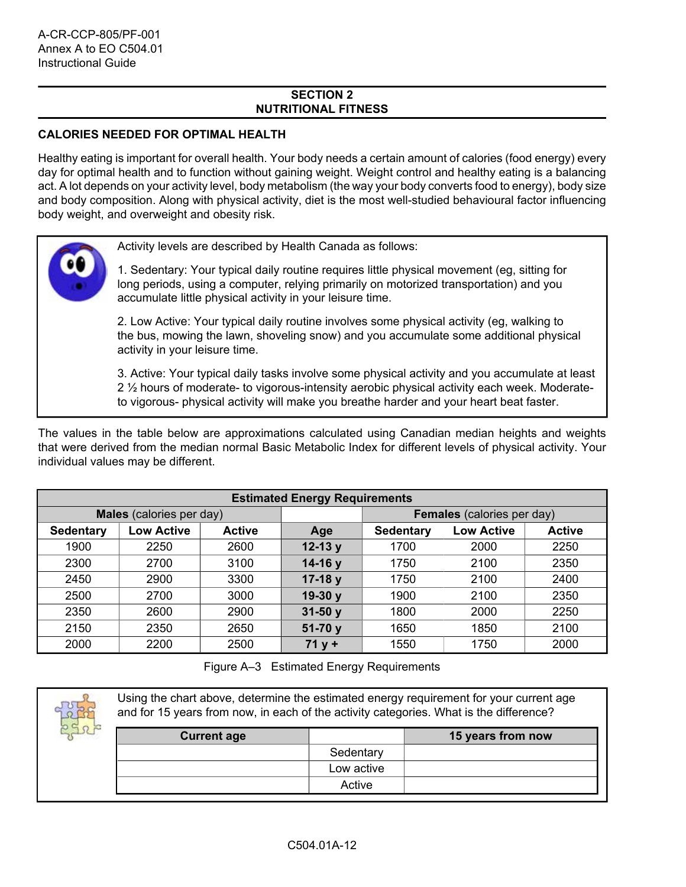#### **SECTION 2 NUTRITIONAL FITNESS**

#### **CALORIES NEEDED FOR OPTIMAL HEALTH**

Healthy eating is important for overall health. Your body needs a certain amount of calories (food energy) every day for optimal health and to function without gaining weight. Weight control and healthy eating is a balancing act. A lot depends on your activity level, body metabolism (the way your body converts food to energy), body size and body composition. Along with physical activity, diet is the most well-studied behavioural factor influencing body weight, and overweight and obesity risk.



Activity levels are described by Health Canada as follows:

1. Sedentary: Your typical daily routine requires little physical movement (eg, sitting for long periods, using a computer, relying primarily on motorized transportation) and you accumulate little physical activity in your leisure time.

2. Low Active: Your typical daily routine involves some physical activity (eg, walking to the bus, mowing the lawn, shoveling snow) and you accumulate some additional physical activity in your leisure time.

3. Active: Your typical daily tasks involve some physical activity and you accumulate at least 2 ½ hours of moderate- to vigorous-intensity aerobic physical activity each week. Moderateto vigorous- physical activity will make you breathe harder and your heart beat faster.

The values in the table below are approximations calculated using Canadian median heights and weights that were derived from the median normal Basic Metabolic Index for different levels of physical activity. Your individual values may be different.

| <b>Estimated Energy Requirements</b> |                                 |               |                                                               |                                   |      |      |  |
|--------------------------------------|---------------------------------|---------------|---------------------------------------------------------------|-----------------------------------|------|------|--|
|                                      | <b>Males</b> (calories per day) |               |                                                               | <b>Females</b> (calories per day) |      |      |  |
| <b>Sedentary</b>                     | <b>Low Active</b>               | <b>Active</b> | <b>Low Active</b><br><b>Active</b><br><b>Sedentary</b><br>Age |                                   |      |      |  |
| 1900                                 | 2250                            | 2600          | 12-13 $y$                                                     | 1700                              | 2000 | 2250 |  |
| 2300                                 | 2700                            | 3100          | 14-16 $y$                                                     | 1750                              | 2100 | 2350 |  |
| 2450                                 | 2900                            | 3300          | 17-18 $y$                                                     | 1750                              | 2100 | 2400 |  |
| 2500                                 | 2700                            | 3000          | $19-30y$                                                      | 1900                              | 2100 | 2350 |  |
| 2350                                 | 2600                            | 2900          | $31 - 50y$                                                    | 1800                              | 2000 | 2250 |  |
| 2150                                 | 2350                            | 2650          | $51-70y$                                                      | 1650                              | 1850 | 2100 |  |
| 2000                                 | 2200                            | 2500          | $71y +$                                                       | 1550                              | 1750 | 2000 |  |

Figure A–3 Estimated Energy Requirements



Using the chart above, determine the estimated energy requirement for your current age and for 15 years from now, in each of the activity categories. What is the difference?

| <b>Current age</b> |            | 15 years from now |
|--------------------|------------|-------------------|
|                    | Sedentary  |                   |
|                    | Low active |                   |
|                    | Active     |                   |
|                    |            |                   |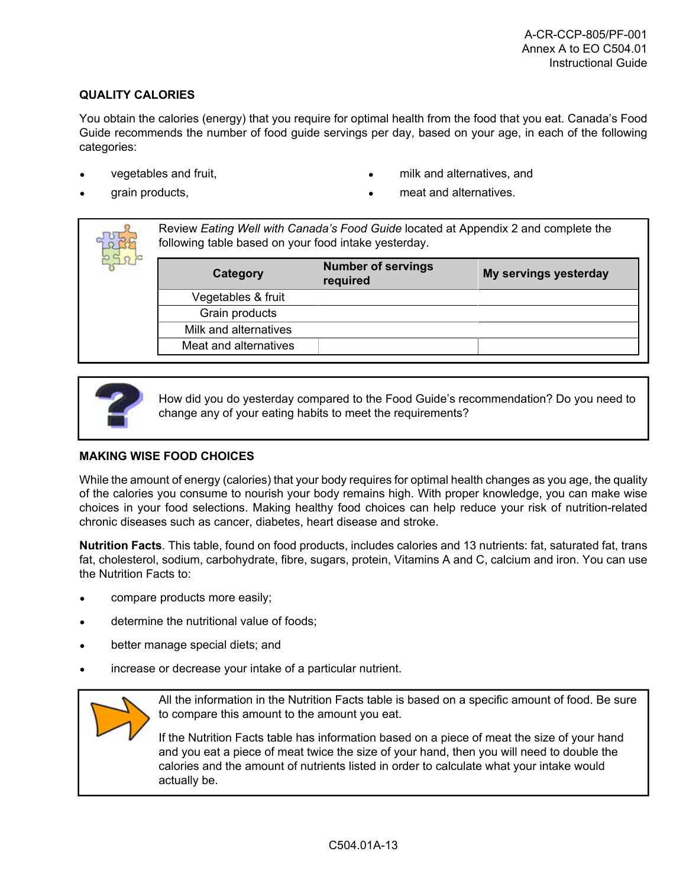#### **QUALITY CALORIES**

You obtain the calories (energy) that you require for optimal health from the food that you eat. Canada's Food Guide recommends the number of food guide servings per day, based on your age, in each of the following categories:

- vegetables and fruit,
- grain products,
- milk and alternatives, and
- meat and alternatives.

| Review Eating Well with Canada's Food Guide located at Appendix 2 and complete the<br>following table based on your food intake yesterday. |                                       |                       |  |  |
|--------------------------------------------------------------------------------------------------------------------------------------------|---------------------------------------|-----------------------|--|--|
| Category                                                                                                                                   | <b>Number of servings</b><br>required | My servings yesterday |  |  |
| Vegetables & fruit                                                                                                                         |                                       |                       |  |  |
| Grain products                                                                                                                             |                                       |                       |  |  |
| Milk and alternatives                                                                                                                      |                                       |                       |  |  |
| Meat and alternatives                                                                                                                      |                                       |                       |  |  |
|                                                                                                                                            |                                       |                       |  |  |



How did you do yesterday compared to the Food Guide's recommendation? Do you need to change any of your eating habits to meet the requirements?

#### **MAKING WISE FOOD CHOICES**

While the amount of energy (calories) that your body requires for optimal health changes as you age, the quality of the calories you consume to nourish your body remains high. With proper knowledge, you can make wise choices in your food selections. Making healthy food choices can help reduce your risk of nutrition-related chronic diseases such as cancer, diabetes, heart disease and stroke.

**Nutrition Facts**. This table, found on food products, includes calories and 13 nutrients: fat, saturated fat, trans fat, cholesterol, sodium, carbohydrate, fibre, sugars, protein, Vitamins A and C, calcium and iron. You can use the Nutrition Facts to:

- compare products more easily;
- determine the nutritional value of foods;
- better manage special diets; and
- increase or decrease your intake of a particular nutrient.



All the information in the Nutrition Facts table is based on a specific amount of food. Be sure to compare this amount to the amount you eat.

If the Nutrition Facts table has information based on a piece of meat the size of your hand and you eat a piece of meat twice the size of your hand, then you will need to double the calories and the amount of nutrients listed in order to calculate what your intake would actually be.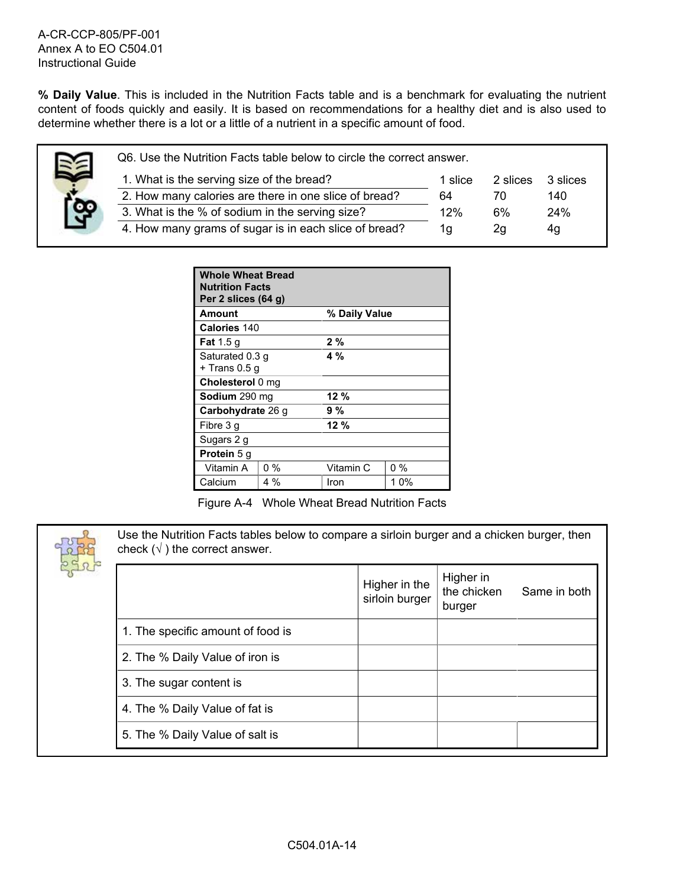#### A-CR-CCP-805/PF-001 Annex A to EO C504.01 Instructional Guide

**% Daily Value**. This is included in the Nutrition Facts table and is a benchmark for evaluating the nutrient content of foods quickly and easily. It is based on recommendations for a healthy diet and is also used to determine whether there is a lot or a little of a nutrient in a specific amount of food.

| Q6. Use the Nutrition Facts table below to circle the correct answer. |         |           |           |  |  |
|-----------------------------------------------------------------------|---------|-----------|-----------|--|--|
| 1. What is the serving size of the bread?                             | 1 slice | -2 slices | -3 slices |  |  |
| 2. How many calories are there in one slice of bread?                 | 64      | 70        | 140       |  |  |
| 3. What is the % of sodium in the serving size?                       | 12%     | 6%        | 24%       |  |  |
| 4. How many grams of sugar is in each slice of bread?                 | 1a      | 2q        | 4q        |  |  |

| <b>Whole Wheat Bread</b><br><b>Nutrition Facts</b><br>Per 2 slices (64 g) |                      |               |       |  |  |  |  |
|---------------------------------------------------------------------------|----------------------|---------------|-------|--|--|--|--|
| Amount                                                                    |                      | % Daily Value |       |  |  |  |  |
| Calories 140                                                              |                      |               |       |  |  |  |  |
| <b>Fat</b> 1.5 g                                                          |                      | 2%            |       |  |  |  |  |
| Saturated 0.3 q                                                           |                      | 4 %           |       |  |  |  |  |
| $+$ Trans 0.5 g                                                           |                      |               |       |  |  |  |  |
| Cholesterol 0 mg                                                          |                      |               |       |  |  |  |  |
|                                                                           | 12%<br>Sodium 290 mg |               |       |  |  |  |  |
| Carbohydrate 26 g                                                         |                      | 9 %           |       |  |  |  |  |
| Fibre 3 q                                                                 |                      | 12%           |       |  |  |  |  |
| Sugars 2 g                                                                |                      |               |       |  |  |  |  |
| Protein 5 g                                                               |                      |               |       |  |  |  |  |
| Vitamin A                                                                 | 0 %                  | Vitamin C     | $0\%$ |  |  |  |  |
| Calcium                                                                   | 4 %                  | Iron          | 10%   |  |  |  |  |

Figure A-4 Whole Wheat Bread Nutrition Facts



Use the Nutrition Facts tables below to compare a sirloin burger and a chicken burger, then check  $(\sqrt{})$  the correct answer.

|                                   | Higher in the<br>sirloin burger | Higher in<br>the chicken<br>burger | Same in both |
|-----------------------------------|---------------------------------|------------------------------------|--------------|
| 1. The specific amount of food is |                                 |                                    |              |
| 2. The % Daily Value of iron is   |                                 |                                    |              |
| 3. The sugar content is           |                                 |                                    |              |
| 4. The % Daily Value of fat is    |                                 |                                    |              |
| 5. The % Daily Value of salt is   |                                 |                                    |              |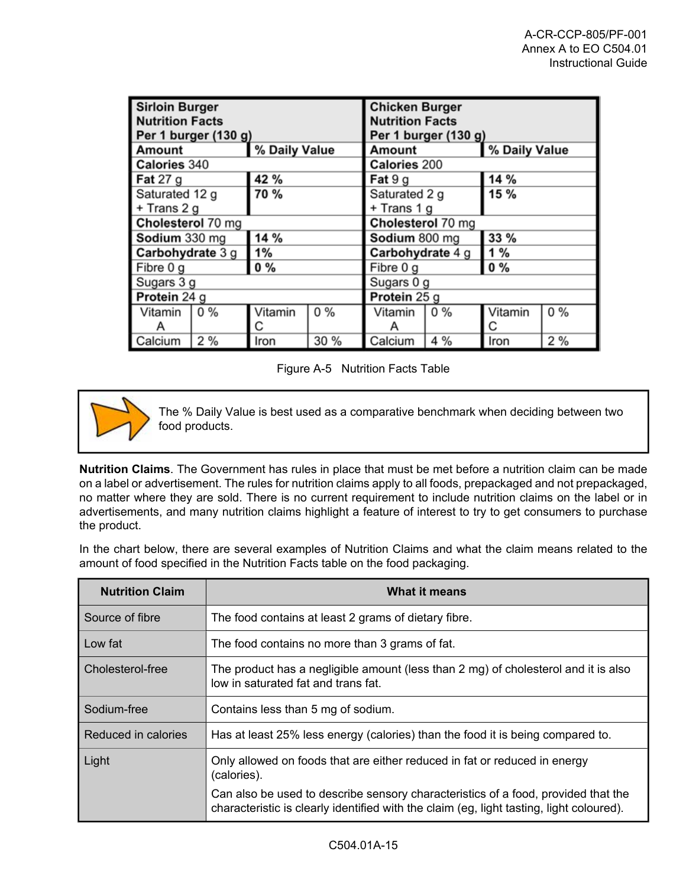| <b>Sirloin Burger</b><br><b>Nutrition Facts</b><br>Per 1 burger (130 g) |       |               |              | <b>Chicken Burger</b><br><b>Nutrition Facts</b><br>Per 1 burger (130 g) |               |         |    |
|-------------------------------------------------------------------------|-------|---------------|--------------|-------------------------------------------------------------------------|---------------|---------|----|
| Amount                                                                  |       | % Daily Value |              | Amount                                                                  | % Daily Value |         |    |
| Calories 340                                                            |       |               |              | Calories 200                                                            |               |         |    |
| Fat $27g$                                                               |       | 42 %          |              | Fat $9g$                                                                |               | 14 %    |    |
| Saturated 12 g                                                          |       | 70 %          |              | Saturated 2 g                                                           |               | 15 %    |    |
| + Trans 2 g                                                             |       |               |              | + Trans 1 g                                                             |               |         |    |
| Cholesterol 70 mg                                                       |       |               |              | Cholesterol 70 mg                                                       |               |         |    |
| Sodium 330 mg                                                           |       | 14 %          |              | Sodium 800 mg                                                           |               | 33 %    |    |
| Carbohydrate 3 g                                                        |       | 1%            |              | Carbohydrate 4 g                                                        |               | 1 %     |    |
| Fibre 0 g                                                               |       | $0\%$         |              | $0\%$<br>Fibre 0 g                                                      |               |         |    |
| Sugars 3 g                                                              |       |               |              | Sugars 0 g                                                              |               |         |    |
| Protein 24 g                                                            |       |               | Protein 25 g |                                                                         |               |         |    |
| Vitamin                                                                 | $0\%$ | Vitamin       | $0\%$        | Vitamin                                                                 | $0\%$         | Vitamin | 0% |
|                                                                         |       | С             |              | А                                                                       |               | С       |    |
| Calcium                                                                 | 2%    | Iron          | 30 %         | Calcium                                                                 | 4 %           | Iron    | 2% |

Figure A-5 Nutrition Facts Table



The % Daily Value is best used as a comparative benchmark when deciding between two food products.

**Nutrition Claims**. The Government has rules in place that must be met before a nutrition claim can be made on a label or advertisement. The rules for nutrition claims apply to all foods, prepackaged and not prepackaged, no matter where they are sold. There is no current requirement to include nutrition claims on the label or in advertisements, and many nutrition claims highlight a feature of interest to try to get consumers to purchase the product.

In the chart below, there are several examples of Nutrition Claims and what the claim means related to the amount of food specified in the Nutrition Facts table on the food packaging.

| <b>Nutrition Claim</b> | What it means                                                                                                                                                                 |  |  |  |
|------------------------|-------------------------------------------------------------------------------------------------------------------------------------------------------------------------------|--|--|--|
| Source of fibre        | The food contains at least 2 grams of dietary fibre.                                                                                                                          |  |  |  |
| Low fat                | The food contains no more than 3 grams of fat.                                                                                                                                |  |  |  |
| Cholesterol-free       | The product has a negligible amount (less than 2 mg) of cholesterol and it is also<br>low in saturated fat and trans fat.                                                     |  |  |  |
| Sodium-free            | Contains less than 5 mg of sodium.                                                                                                                                            |  |  |  |
| Reduced in calories    | Has at least 25% less energy (calories) than the food it is being compared to.                                                                                                |  |  |  |
| Light                  | Only allowed on foods that are either reduced in fat or reduced in energy<br>(calories).                                                                                      |  |  |  |
|                        | Can also be used to describe sensory characteristics of a food, provided that the<br>characteristic is clearly identified with the claim (eg, light tasting, light coloured). |  |  |  |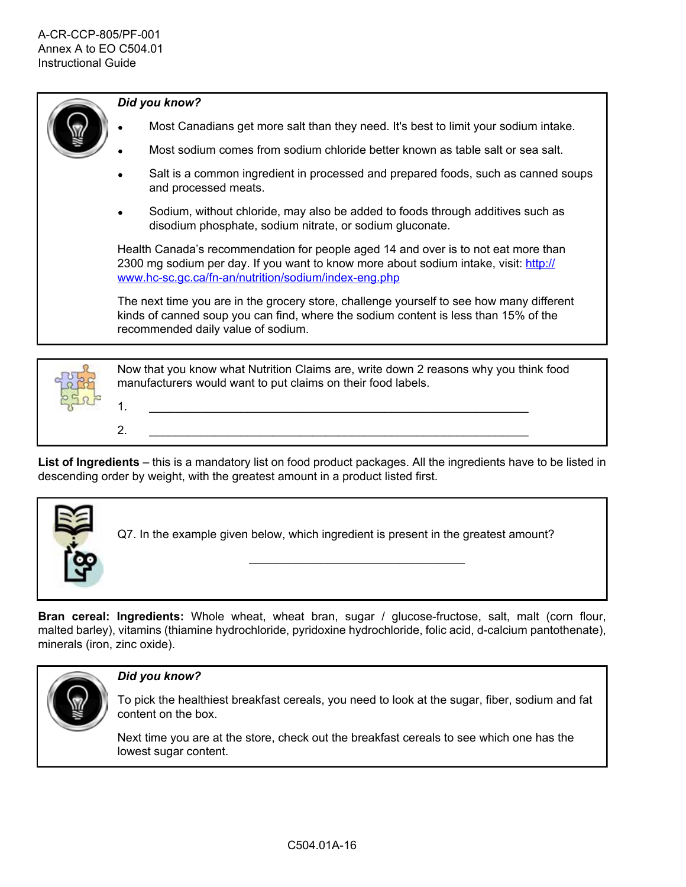

#### *Did you know?*

- Most Canadians get more salt than they need. It's best to limit your sodium intake.
- Most sodium comes from sodium chloride better known as table salt or sea salt.
- Salt is a common ingredient in processed and prepared foods, such as canned soups  $\bullet$ and processed meats.
- Sodium, without chloride, may also be added to foods through additives such as disodium phosphate, sodium nitrate, or sodium gluconate.

Health Canada's recommendation for people aged 14 and over is to not eat more than 2300 mg sodium per day. If you want to know more about sodium intake, visit: http:// www.hc-sc.gc.ca/fn-an/nutrition/sodium/index-eng.php

The next time you are in the grocery store, challenge yourself to see how many different kinds of canned soup you can find, where the sodium content is less than 15% of the recommended daily value of sodium.



Now that you know what Nutrition Claims are, write down 2 reasons why you think food manufacturers would want to put claims on their food labels.

**List of Ingredients** – this is a mandatory list on food product packages. All the ingredients have to be listed in descending order by weight, with the greatest amount in a product listed first.

1. \_\_\_\_\_\_\_\_\_\_\_\_\_\_\_\_\_\_\_\_\_\_\_\_\_\_\_\_\_\_\_\_\_\_\_\_\_\_\_\_\_\_\_\_\_\_\_\_\_\_\_\_\_\_\_\_\_\_

2. \_\_\_\_\_\_\_\_\_\_\_\_\_\_\_\_\_\_\_\_\_\_\_\_\_\_\_\_\_\_\_\_\_\_\_\_\_\_\_\_\_\_\_\_\_\_\_\_\_\_\_\_\_\_\_\_\_\_



Q7. In the example given below, which ingredient is present in the greatest amount?

\_\_\_\_\_\_\_\_\_\_\_\_\_\_\_\_\_\_\_\_\_\_\_\_\_\_\_\_\_\_\_\_\_

**Bran cereal: Ingredients:** Whole wheat, wheat bran, sugar / glucose-fructose, salt, malt (corn flour, malted barley), vitamins (thiamine hydrochloride, pyridoxine hydrochloride, folic acid, d-calcium pantothenate), minerals (iron, zinc oxide).



#### *Did you know?*

To pick the healthiest breakfast cereals, you need to look at the sugar, fiber, sodium and fat content on the box.

Next time you are at the store, check out the breakfast cereals to see which one has the lowest sugar content.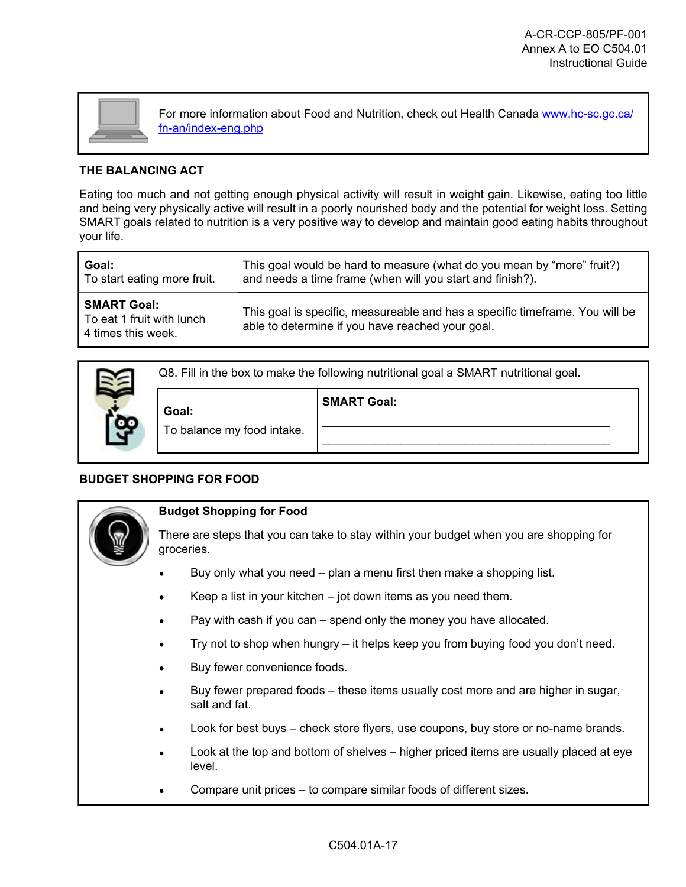

For more information about Food and Nutrition, check out Health Canada www.hc-sc.gc.ca/ fn-an/index-eng.php

#### **THE BALANCING ACT**

Eating too much and not getting enough physical activity will result in weight gain. Likewise, eating too little and being very physically active will result in a poorly nourished body and the potential for weight loss. Setting SMART goals related to nutrition is a very positive way to develop and maintain good eating habits throughout your life.

| Goal:                                                                 | This goal would be hard to measure (what do you mean by "more" fruit?)                                                           |
|-----------------------------------------------------------------------|----------------------------------------------------------------------------------------------------------------------------------|
| To start eating more fruit.                                           | and needs a time frame (when will you start and finish?).                                                                        |
| <b>SMART Goal:</b><br>To eat 1 fruit with lunch<br>4 times this week. | This goal is specific, measureable and has a specific timeframe. You will be<br>able to determine if you have reached your goal. |

|              | Q8. Fill in the box to make the following nutritional goal a SMART nutritional goal. |                    |  |  |
|--------------|--------------------------------------------------------------------------------------|--------------------|--|--|
| Goal:<br>ဇူး | To balance my food intake.                                                           | <b>SMART Goal:</b> |  |  |

#### **BUDGET SHOPPING FOR FOOD**



#### **Budget Shopping for Food**

There are steps that you can take to stay within your budget when you are shopping for groceries.

- Buy only what you need plan a menu first then make a shopping list.  $\bullet$
- Keep a list in your kitchen jot down items as you need them.  $\bullet$
- Pay with cash if you can spend only the money you have allocated.
- Try not to shop when hungry it helps keep you from buying food you don't need.
- Buy fewer convenience foods.
- Buy fewer prepared foods these items usually cost more and are higher in sugar, salt and fat.
- Look for best buys check store flyers, use coupons, buy store or no-name brands.
- Look at the top and bottom of shelves higher priced items are usually placed at eye level.
- Compare unit prices to compare similar foods of different sizes. $\bullet$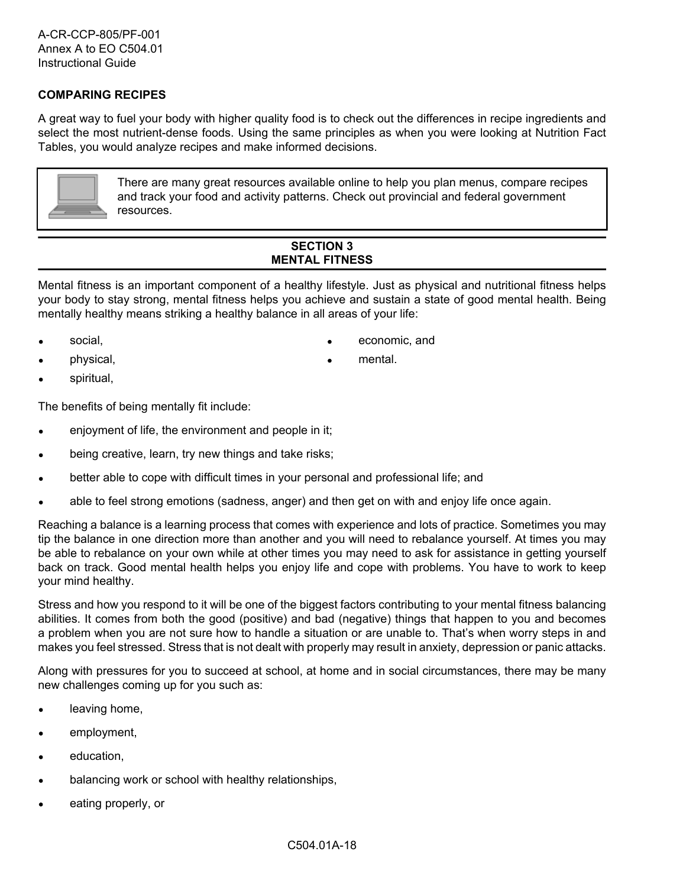A-CR-CCP-805/PF-001 Annex A to EO C504.01 Instructional Guide

#### **COMPARING RECIPES**

A great way to fuel your body with higher quality food is to check out the differences in recipe ingredients and select the most nutrient-dense foods. Using the same principles as when you were looking at Nutrition Fact Tables, you would analyze recipes and make informed decisions.



There are many great resources available online to help you plan menus, compare recipes and track your food and activity patterns. Check out provincial and federal government resources.

#### **SECTION 3 MENTAL FITNESS**

Mental fitness is an important component of a healthy lifestyle. Just as physical and nutritional fitness helps your body to stay strong, mental fitness helps you achieve and sustain a state of good mental health. Being mentally healthy means striking a healthy balance in all areas of your life:

social,

economic, and

physical,

mental.

spiritual,

The benefits of being mentally fit include:

- enjoyment of life, the environment and people in it;
- being creative, learn, try new things and take risks;
- better able to cope with difficult times in your personal and professional life; and
- able to feel strong emotions (sadness, anger) and then get on with and enjoy life once again.

Reaching a balance is a learning process that comes with experience and lots of practice. Sometimes you may tip the balance in one direction more than another and you will need to rebalance yourself. At times you may be able to rebalance on your own while at other times you may need to ask for assistance in getting yourself back on track. Good mental health helps you enjoy life and cope with problems. You have to work to keep your mind healthy.

Stress and how you respond to it will be one of the biggest factors contributing to your mental fitness balancing abilities. It comes from both the good (positive) and bad (negative) things that happen to you and becomes a problem when you are not sure how to handle a situation or are unable to. That's when worry steps in and makes you feel stressed. Stress that is not dealt with properly may result in anxiety, depression or panic attacks.

Along with pressures for you to succeed at school, at home and in social circumstances, there may be many new challenges coming up for you such as:

- leaving home,
- employment,
- education,
- balancing work or school with healthy relationships,
- eating properly, or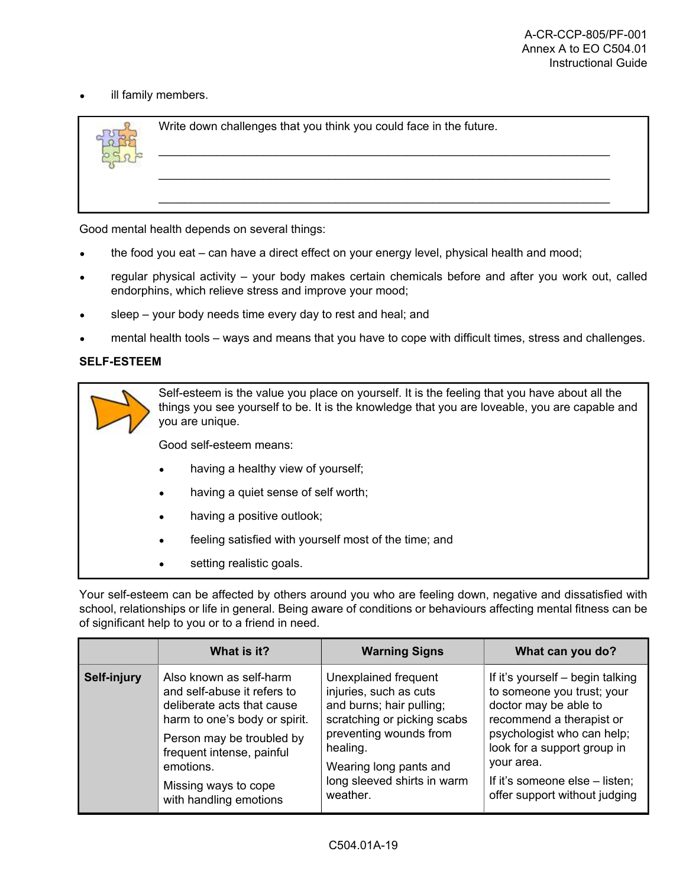ill family members.

| Write down challenges that you think you could face in the future. |
|--------------------------------------------------------------------|
|                                                                    |

Good mental health depends on several things:

- the food you eat can have a direct effect on your energy level, physical health and mood;
- regular physical activity your body makes certain chemicals before and after you work out, called endorphins, which relieve stress and improve your mood;
- sleep your body needs time every day to rest and heal; and
- mental health tools ways and means that you have to cope with difficult times, stress and challenges.

#### **SELF-ESTEEM**

Self-esteem is the value you place on yourself. It is the feeling that you have about all the things you see yourself to be. It is the knowledge that you are loveable, you are capable and you are unique.

Good self-esteem means:

- having a healthy view of yourself;
- having a quiet sense of self worth;
- having a positive outlook;
- feeling satisfied with yourself most of the time; and
- setting realistic goals.  $\bullet$

Your self-esteem can be affected by others around you who are feeling down, negative and dissatisfied with school, relationships or life in general. Being aware of conditions or behaviours affecting mental fitness can be of significant help to you or to a friend in need.

|             | What is it?                   | <b>Warning Signs</b>        | What can you do?                 |
|-------------|-------------------------------|-----------------------------|----------------------------------|
| Self-injury | Also known as self-harm       | Unexplained frequent        | If it's yourself - begin talking |
|             | and self-abuse it refers to   | injuries, such as cuts      | to someone you trust; your       |
|             | deliberate acts that cause    | and burns; hair pulling;    | doctor may be able to            |
|             | harm to one's body or spirit. | scratching or picking scabs | recommend a therapist or         |
|             | Person may be troubled by     | preventing wounds from      | psychologist who can help;       |
|             | frequent intense, painful     | healing.                    | look for a support group in      |
|             | emotions.                     | Wearing long pants and      | your area.                       |
|             | Missing ways to cope          | long sleeved shirts in warm | If it's someone else - listen;   |
|             | with handling emotions        | weather.                    | offer support without judging    |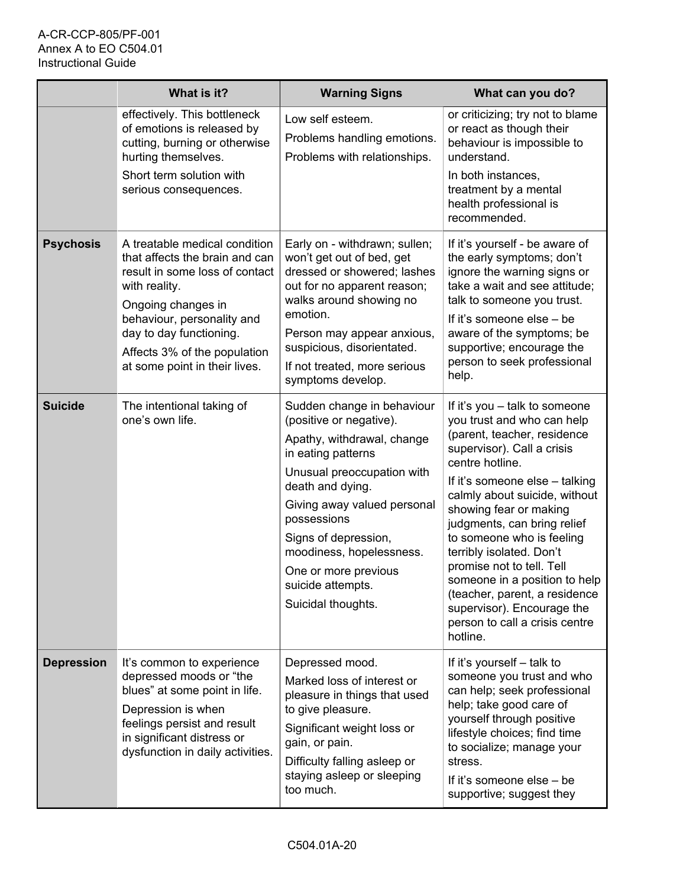|                   | What is it?                                                                                                                                                                                                                                                        | <b>Warning Signs</b>                                                                                                                                                                                                                                                                                                             | What can you do?                                                                                                                                                                                                                                                                                                                                                                                                                                                                                            |  |  |
|-------------------|--------------------------------------------------------------------------------------------------------------------------------------------------------------------------------------------------------------------------------------------------------------------|----------------------------------------------------------------------------------------------------------------------------------------------------------------------------------------------------------------------------------------------------------------------------------------------------------------------------------|-------------------------------------------------------------------------------------------------------------------------------------------------------------------------------------------------------------------------------------------------------------------------------------------------------------------------------------------------------------------------------------------------------------------------------------------------------------------------------------------------------------|--|--|
|                   | effectively. This bottleneck<br>of emotions is released by<br>cutting, burning or otherwise<br>hurting themselves.<br>Short term solution with<br>serious consequences.                                                                                            | Low self esteem.<br>Problems handling emotions.<br>Problems with relationships.                                                                                                                                                                                                                                                  | or criticizing; try not to blame<br>or react as though their<br>behaviour is impossible to<br>understand.<br>In both instances,<br>treatment by a mental<br>health professional is<br>recommended.                                                                                                                                                                                                                                                                                                          |  |  |
| <b>Psychosis</b>  | A treatable medical condition<br>that affects the brain and can<br>result in some loss of contact<br>with reality.<br>Ongoing changes in<br>behaviour, personality and<br>day to day functioning.<br>Affects 3% of the population<br>at some point in their lives. | Early on - withdrawn; sullen;<br>won't get out of bed, get<br>dressed or showered; lashes<br>out for no apparent reason;<br>walks around showing no<br>emotion.<br>Person may appear anxious,<br>suspicious, disorientated.<br>If not treated, more serious<br>symptoms develop.                                                 | If it's yourself - be aware of<br>the early symptoms; don't<br>ignore the warning signs or<br>take a wait and see attitude;<br>talk to someone you trust.<br>If it's someone else - be<br>aware of the symptoms; be<br>supportive; encourage the<br>person to seek professional<br>help.                                                                                                                                                                                                                    |  |  |
| <b>Suicide</b>    | The intentional taking of<br>one's own life.                                                                                                                                                                                                                       | Sudden change in behaviour<br>(positive or negative).<br>Apathy, withdrawal, change<br>in eating patterns<br>Unusual preoccupation with<br>death and dying.<br>Giving away valued personal<br>possessions<br>Signs of depression,<br>moodiness, hopelessness.<br>One or more previous<br>suicide attempts.<br>Suicidal thoughts. | If it's you - talk to someone<br>you trust and who can help<br>(parent, teacher, residence<br>supervisor). Call a crisis<br>centre hotline.<br>If it's someone else - talking<br>calmly about suicide, without<br>showing fear or making<br>judgments, can bring relief<br>to someone who is feeling<br>terribly isolated. Don't<br>promise not to tell. Tell<br>someone in a position to help<br>(teacher, parent, a residence<br>supervisor). Encourage the<br>person to call a crisis centre<br>hotline. |  |  |
| <b>Depression</b> | It's common to experience<br>depressed moods or "the<br>blues" at some point in life.<br>Depression is when<br>feelings persist and result<br>in significant distress or<br>dysfunction in daily activities.                                                       | Depressed mood.<br>Marked loss of interest or<br>pleasure in things that used<br>to give pleasure.<br>Significant weight loss or<br>gain, or pain.<br>Difficulty falling asleep or<br>staying asleep or sleeping<br>too much.                                                                                                    | If it's yourself - talk to<br>someone you trust and who<br>can help; seek professional<br>help; take good care of<br>yourself through positive<br>lifestyle choices; find time<br>to socialize; manage your<br>stress.<br>If it's someone else - be<br>supportive; suggest they                                                                                                                                                                                                                             |  |  |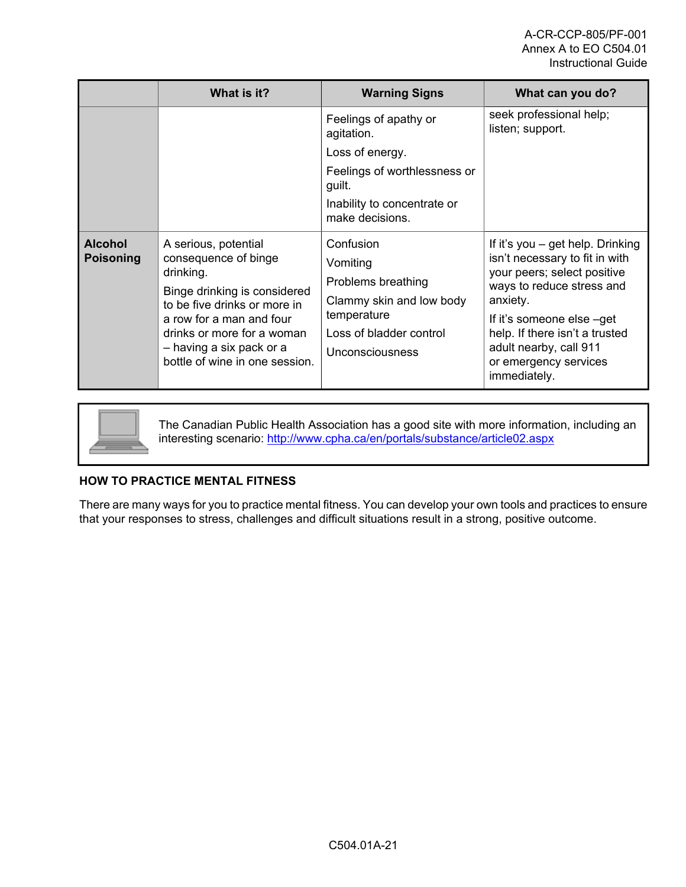|                                    | What is it?                                                                                                                                                                                                                                       | <b>Warning Signs</b>                                                                                                                        | What can you do?                                                                                                                                                                                                                                                             |
|------------------------------------|---------------------------------------------------------------------------------------------------------------------------------------------------------------------------------------------------------------------------------------------------|---------------------------------------------------------------------------------------------------------------------------------------------|------------------------------------------------------------------------------------------------------------------------------------------------------------------------------------------------------------------------------------------------------------------------------|
|                                    |                                                                                                                                                                                                                                                   | Feelings of apathy or<br>agitation.                                                                                                         | seek professional help;<br>listen; support.                                                                                                                                                                                                                                  |
|                                    |                                                                                                                                                                                                                                                   | Loss of energy.                                                                                                                             |                                                                                                                                                                                                                                                                              |
|                                    |                                                                                                                                                                                                                                                   | Feelings of worthlessness or<br>guilt.                                                                                                      |                                                                                                                                                                                                                                                                              |
|                                    |                                                                                                                                                                                                                                                   | Inability to concentrate or<br>make decisions.                                                                                              |                                                                                                                                                                                                                                                                              |
| <b>Alcohol</b><br><b>Poisoning</b> | A serious, potential<br>consequence of binge<br>drinking.<br>Binge drinking is considered<br>to be five drinks or more in<br>a row for a man and four<br>drinks or more for a woman<br>- having a six pack or a<br>bottle of wine in one session. | Confusion<br>Vomiting<br>Problems breathing<br>Clammy skin and low body<br>temperature<br>Loss of bladder control<br><b>Unconsciousness</b> | If it's you – get help. Drinking<br>isn't necessary to fit in with<br>your peers; select positive<br>ways to reduce stress and<br>anxiety.<br>If it's someone else –get<br>help. If there isn't a trusted<br>adult nearby, call 911<br>or emergency services<br>immediately. |

The Canadian Public Health Association has a good site with more information, including an interesting scenario: http://www.cpha.ca/en/portals/substance/article02.aspx

#### **HOW TO PRACTICE MENTAL FITNESS**

There are many ways for you to practice mental fitness. You can develop your own tools and practices to ensure that your responses to stress, challenges and difficult situations result in a strong, positive outcome.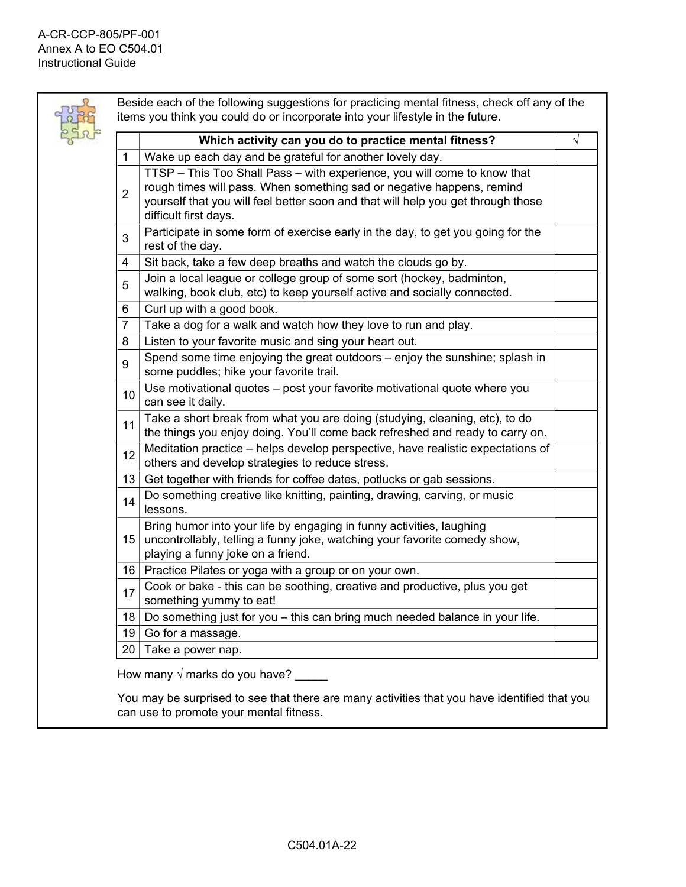|                | Which activity can you do to practice mental fitness?                                                                                                                                                                                                          |
|----------------|----------------------------------------------------------------------------------------------------------------------------------------------------------------------------------------------------------------------------------------------------------------|
| 1              | Wake up each day and be grateful for another lovely day.                                                                                                                                                                                                       |
| $\overline{2}$ | TTSP - This Too Shall Pass - with experience, you will come to know that<br>rough times will pass. When something sad or negative happens, remind<br>yourself that you will feel better soon and that will help you get through those<br>difficult first days. |
| $\mathfrak{B}$ | Participate in some form of exercise early in the day, to get you going for the<br>rest of the day.                                                                                                                                                            |
| 4              | Sit back, take a few deep breaths and watch the clouds go by.                                                                                                                                                                                                  |
| 5              | Join a local league or college group of some sort (hockey, badminton,<br>walking, book club, etc) to keep yourself active and socially connected.                                                                                                              |
| 6              | Curl up with a good book.                                                                                                                                                                                                                                      |
| $\overline{7}$ | Take a dog for a walk and watch how they love to run and play.                                                                                                                                                                                                 |
| 8              | Listen to your favorite music and sing your heart out.                                                                                                                                                                                                         |
| 9              | Spend some time enjoying the great outdoors - enjoy the sunshine; splash in<br>some puddles; hike your favorite trail.                                                                                                                                         |
| 10             | Use motivational quotes - post your favorite motivational quote where you<br>can see it daily.                                                                                                                                                                 |
| 11             | Take a short break from what you are doing (studying, cleaning, etc), to do<br>the things you enjoy doing. You'll come back refreshed and ready to carry on.                                                                                                   |
| 12             | Meditation practice - helps develop perspective, have realistic expectations of<br>others and develop strategies to reduce stress.                                                                                                                             |
| 13             | Get together with friends for coffee dates, potlucks or gab sessions.                                                                                                                                                                                          |
| 14             | Do something creative like knitting, painting, drawing, carving, or music<br>lessons.                                                                                                                                                                          |
| 15             | Bring humor into your life by engaging in funny activities, laughing<br>uncontrollably, telling a funny joke, watching your favorite comedy show,<br>playing a funny joke on a friend.                                                                         |
|                | 16 Practice Pilates or yoga with a group or on your own.                                                                                                                                                                                                       |
| 17             | Cook or bake - this can be soothing, creative and productive, plus you get<br>something yummy to eat!                                                                                                                                                          |
| 18             | Do something just for you - this can bring much needed balance in your life.                                                                                                                                                                                   |
| 19             | Go for a massage.                                                                                                                                                                                                                                              |
| 20             | Take a power nap.                                                                                                                                                                                                                                              |

You may be surprised to see that there are many activities that you have identified that you can use to promote your mental fitness.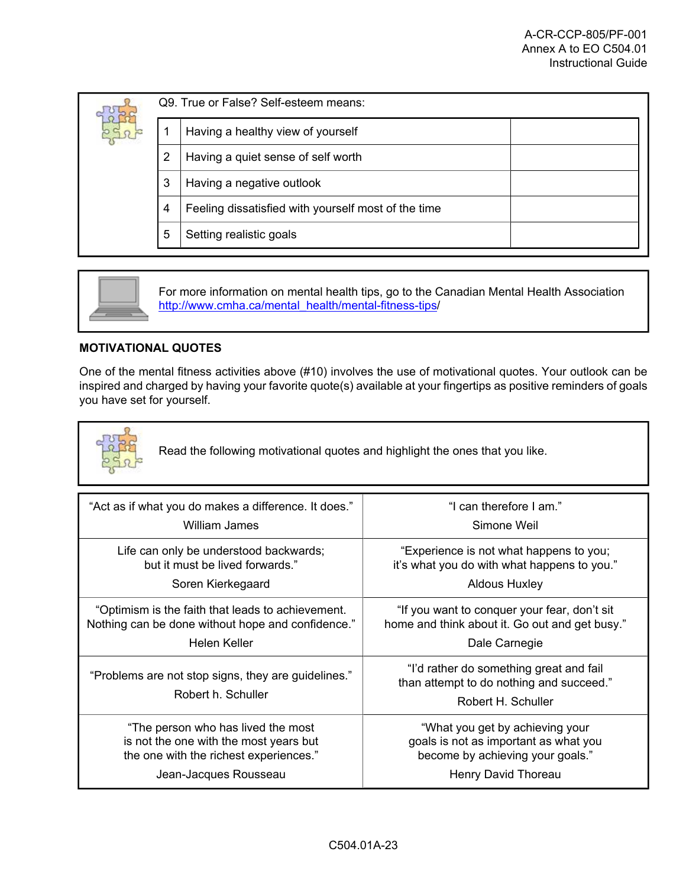|   | Q9. True or False? Self-esteem means:<br>Having a healthy view of yourself |  |  |  |  |
|---|----------------------------------------------------------------------------|--|--|--|--|
|   |                                                                            |  |  |  |  |
| 2 | Having a quiet sense of self worth                                         |  |  |  |  |
| 3 | Having a negative outlook                                                  |  |  |  |  |
| 4 | Feeling dissatisfied with yourself most of the time                        |  |  |  |  |
| 5 | Setting realistic goals                                                    |  |  |  |  |



For more information on mental health tips, go to the Canadian Mental Health Association http://www.cmha.ca/mental\_health/mental-fitness-tips/

#### **MOTIVATIONAL QUOTES**

One of the mental fitness activities above (#10) involves the use of motivational quotes. Your outlook can be inspired and charged by having your favorite quote(s) available at your fingertips as positive reminders of goals you have set for yourself.



Read the following motivational quotes and highlight the ones that you like.

| "Act as if what you do makes a difference. It does."                      | "I can therefore I am."                                                                                   |
|---------------------------------------------------------------------------|-----------------------------------------------------------------------------------------------------------|
| William James                                                             | Simone Weil                                                                                               |
| Life can only be understood backwards;                                    | "Experience is not what happens to you;                                                                   |
| but it must be lived forwards."                                           | it's what you do with what happens to you."                                                               |
| Soren Kierkegaard                                                         | <b>Aldous Huxley</b>                                                                                      |
| "Optimism is the faith that leads to achievement.                         | "If you want to conquer your fear, don't sit                                                              |
| Nothing can be done without hope and confidence."                         | home and think about it. Go out and get busy."                                                            |
| Helen Keller                                                              | Dale Carnegie                                                                                             |
| "Problems are not stop signs, they are guidelines."<br>Robert h. Schuller | "I'd rather do something great and fail<br>than attempt to do nothing and succeed."<br>Robert H. Schuller |
| "The person who has lived the most                                        | "What you get by achieving your                                                                           |
| is not the one with the most years but                                    | goals is not as important as what you                                                                     |
| the one with the richest experiences."                                    | become by achieving your goals."                                                                          |
| Jean-Jacques Rousseau                                                     | Henry David Thoreau                                                                                       |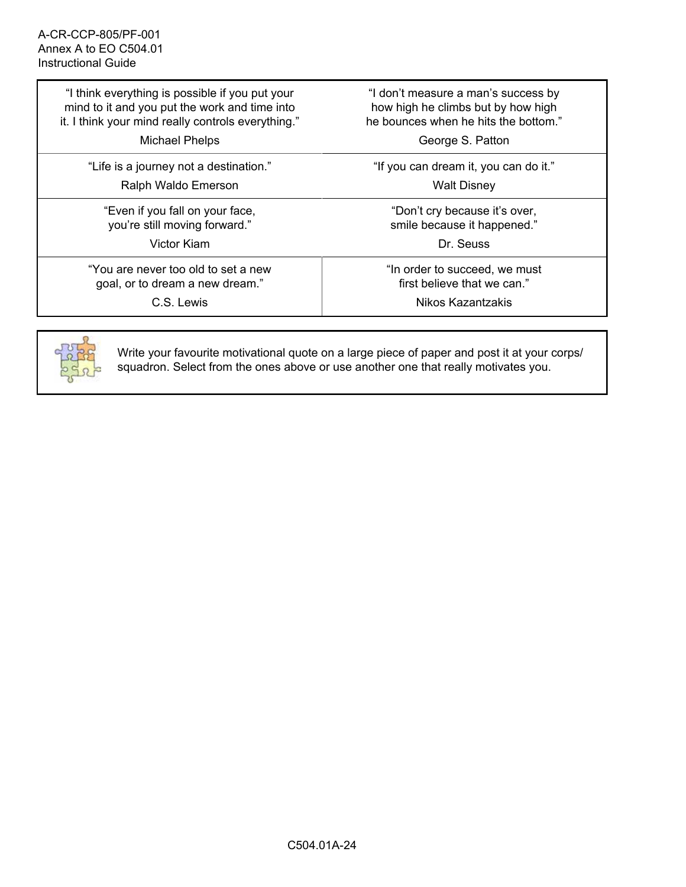| "I think everything is possible if you put your    | "I don't measure a man's success by   |
|----------------------------------------------------|---------------------------------------|
| mind to it and you put the work and time into      | how high he climbs but by how high    |
| it. I think your mind really controls everything." | he bounces when he hits the bottom."  |
| <b>Michael Phelps</b>                              | George S. Patton                      |
| "Life is a journey not a destination."             | "If you can dream it, you can do it." |
| Ralph Waldo Emerson                                | <b>Walt Disney</b>                    |
| "Even if you fall on your face,                    | "Don't cry because it's over,         |
| you're still moving forward."                      | smile because it happened."           |
| Victor Kiam                                        | Dr. Seuss                             |
| "You are never too old to set a new                | "In order to succeed, we must         |
| goal, or to dream a new dream."                    | first believe that we can."           |
| C.S. Lewis                                         | Nikos Kazantzakis                     |



Write your favourite motivational quote on a large piece of paper and post it at your corps/ squadron. Select from the ones above or use another one that really motivates you.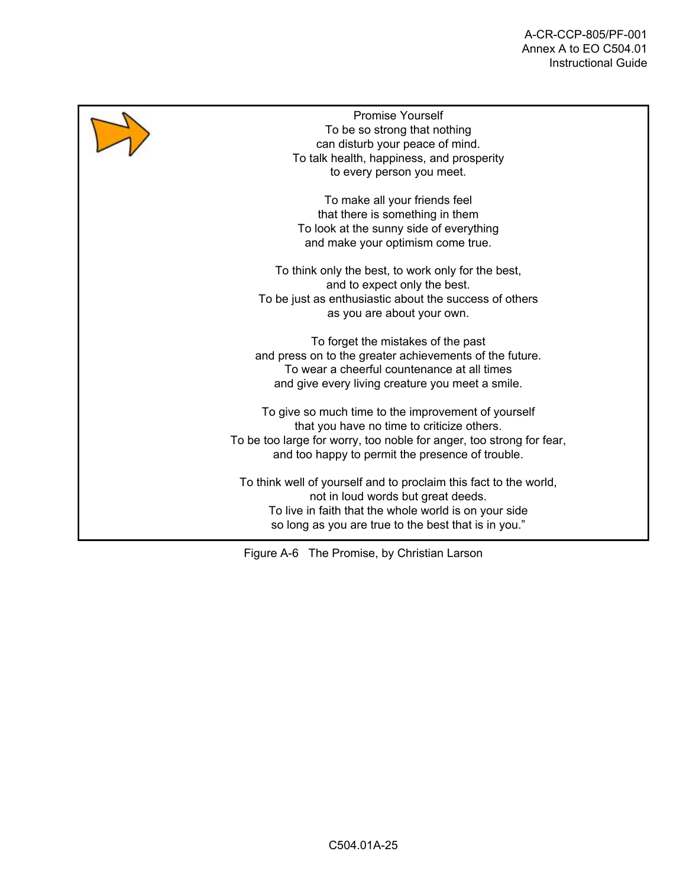| <b>Promise Yourself</b>                                              |
|----------------------------------------------------------------------|
| To be so strong that nothing                                         |
| can disturb your peace of mind.                                      |
| To talk health, happiness, and prosperity                            |
| to every person you meet.                                            |
|                                                                      |
| To make all your friends feel                                        |
| that there is something in them                                      |
| To look at the sunny side of everything                              |
| and make your optimism come true.                                    |
|                                                                      |
| To think only the best, to work only for the best,                   |
| and to expect only the best.                                         |
| To be just as enthusiastic about the success of others               |
| as you are about your own.                                           |
|                                                                      |
| To forget the mistakes of the past                                   |
| and press on to the greater achievements of the future.              |
| To wear a cheerful countenance at all times                          |
| and give every living creature you meet a smile.                     |
|                                                                      |
| To give so much time to the improvement of yourself                  |
| that you have no time to criticize others.                           |
| To be too large for worry, too noble for anger, too strong for fear, |
| and too happy to permit the presence of trouble.                     |
|                                                                      |
| To think well of yourself and to proclaim this fact to the world,    |
| not in loud words but great deeds.                                   |
| To live in faith that the whole world is on your side                |
| so long as you are true to the best that is in you."                 |

Figure A-6 The Promise, by Christian Larson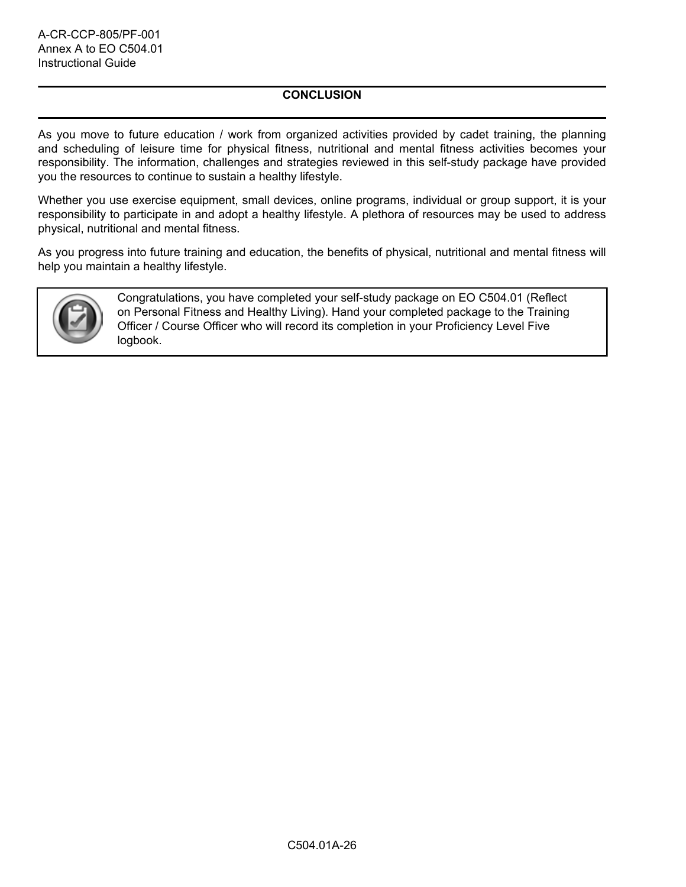#### **CONCLUSION**

As you move to future education / work from organized activities provided by cadet training, the planning and scheduling of leisure time for physical fitness, nutritional and mental fitness activities becomes your responsibility. The information, challenges and strategies reviewed in this self-study package have provided you the resources to continue to sustain a healthy lifestyle.

Whether you use exercise equipment, small devices, online programs, individual or group support, it is your responsibility to participate in and adopt a healthy lifestyle. A plethora of resources may be used to address physical, nutritional and mental fitness.

As you progress into future training and education, the benefits of physical, nutritional and mental fitness will help you maintain a healthy lifestyle.



Congratulations, you have completed your self-study package on EO C504.01 (Reflect on Personal Fitness and Healthy Living). Hand your completed package to the Training Officer / Course Officer who will record its completion in your Proficiency Level Five logbook.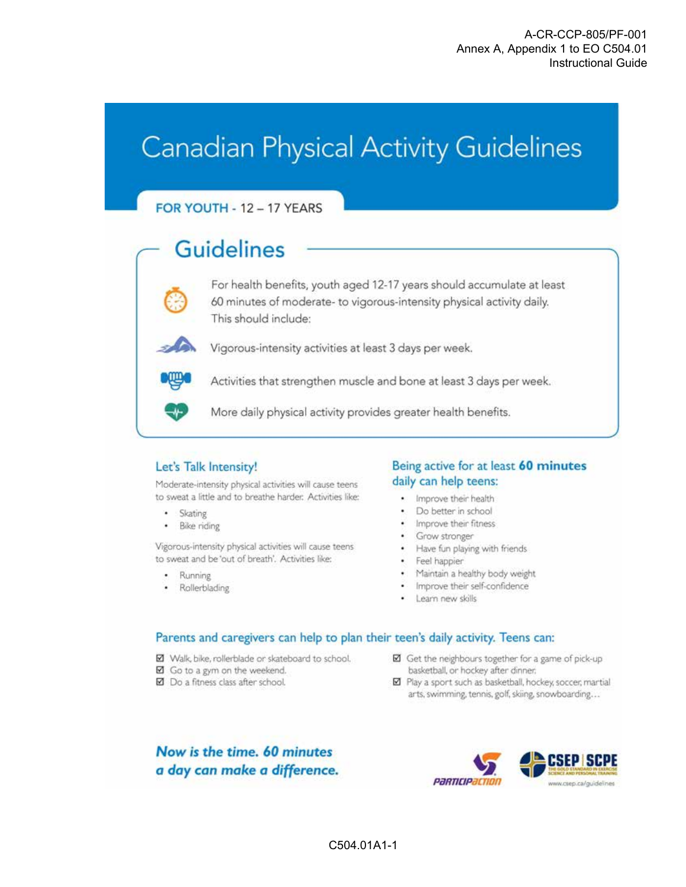# **Canadian Physical Activity Guidelines**

### FOR YOUTH - 12 - 17 YEARS

# Guidelines

For health benefits, youth aged 12-17 years should accumulate at least 60 minutes of moderate- to vigorous-intensity physical activity daily. This should include:



Vigorous-intensity activities at least 3 days per week.

Activities that strengthen muscle and bone at least 3 days per week.

More daily physical activity provides greater health benefits.

#### Let's Talk Intensity!

Moderate-intensity physical activities will cause teens to sweat a little and to breathe harder. Activities like:

- · Skating
- **Bike** riding ٠

Vigorous-intensity physical activities will cause teens to sweat and be 'out of breath'. Activities like:

- Running ۰.
- Rollerblading

#### Being active for at least 60 minutes daily can help teens:

- · Improve their health
- Do better in school
- · Improve their fitness
- · Grow stronger
- · Have fun playing with friends
- · Feel happier
- · Maintain a healthy body weight
- · Improve their self-confidence
- · Learn new skills

#### Parents and caregivers can help to plan their teen's daily activity. Teens can:

- M Walk, bike, rollerblade or skateboard to school.
- ☑ Go to a gym on the weekend.
- ☑ Do a fitness class after school.
- Get the neighbours together for a game of pick-up basketball, or hockey after dinner.
- Play a sport such as basketball, hockey, soccer, martial arts, swimming, tennis, golf, skiing, snowboarding...

Now is the time, 60 minutes a day can make a difference.

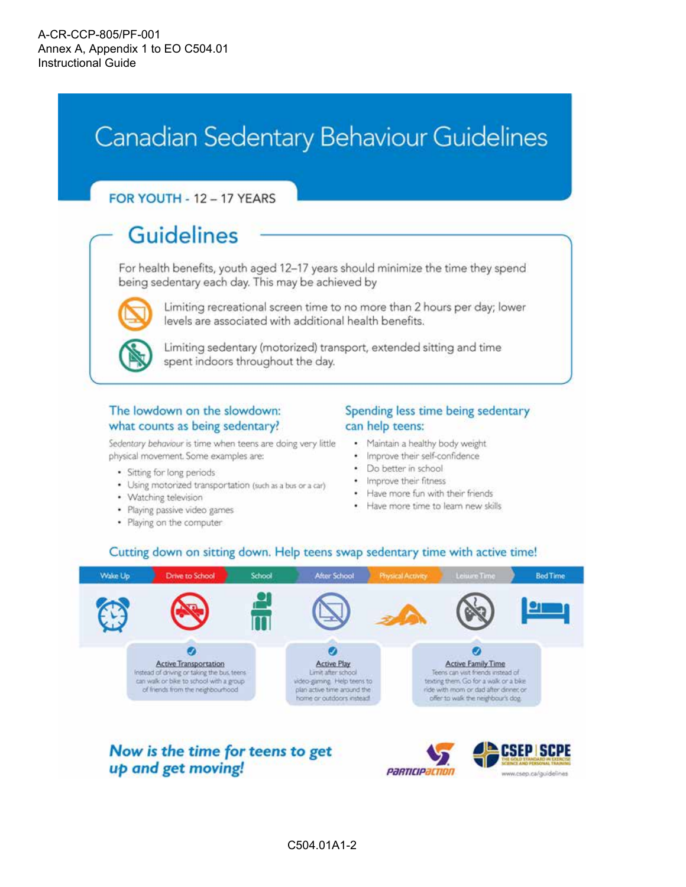# **Canadian Sedentary Behaviour Guidelines**

### FOR YOUTH - 12 - 17 YEARS

## Guidelines

For health benefits, youth aged 12-17 years should minimize the time they spend being sedentary each day. This may be achieved by



Limiting recreational screen time to no more than 2 hours per day; lower levels are associated with additional health benefits.



Limiting sedentary (motorized) transport, extended sitting and time spent indoors throughout the day.

#### The lowdown on the slowdown: what counts as being sedentary?

Sedentary behaviour is time when teens are doing very little physical movement. Some examples are:

- · Sitting for long periods
- · Using motorized transportation (such as a bus or a car)
- Watching television
- · Playing passive video games
- · Playing on the computer

#### Spending less time being sedentary can help teens:

- · Maintain a healthy body weight
- · Improve their self-confidence
- Do better in school
- · Improve their fitness
- Have more fun with their friends
- · Have more time to learn new skills

#### Cutting down on sitting down. Help teens swap sedentary time with active time!



#### Now is the time for teens to get up and get moving!

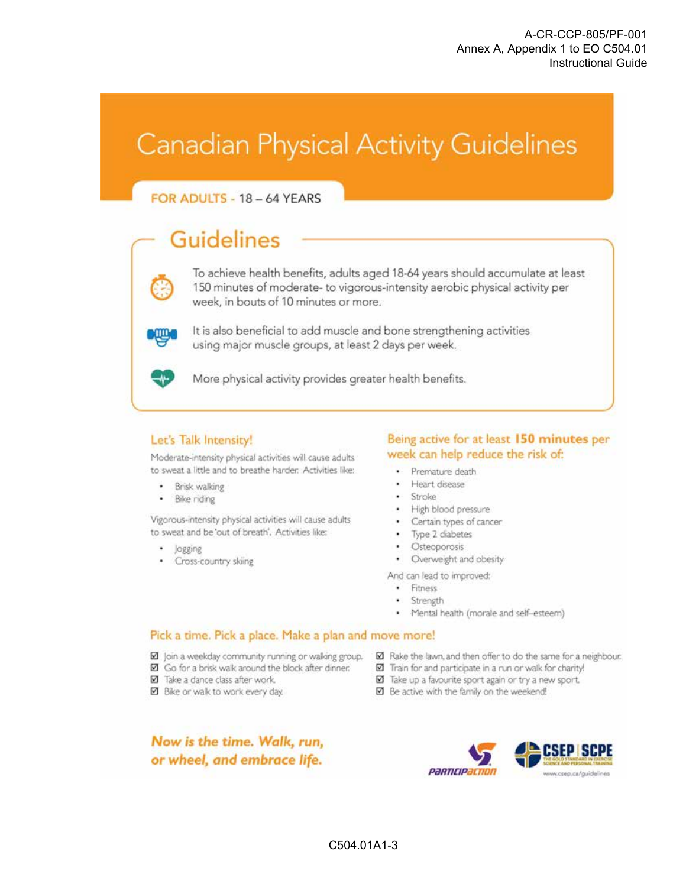# **Canadian Physical Activity Guidelines**

#### FOR ADULTS - 18 - 64 YEARS

## Guidelines



To achieve health benefits, adults aged 18-64 years should accumulate at least 150 minutes of moderate- to vigorous-intensity aerobic physical activity per week, in bouts of 10 minutes or more.



It is also beneficial to add muscle and bone strengthening activities using major muscle groups, at least 2 days per week.

More physical activity provides greater health benefits.

#### Let's Talk Intensity!

Moderate-intensity physical activities will cause adults to sweat a little and to breathe harder. Activities like:

- Brisk walking
- · Bike riding

Vigorous-intensity physical activities will cause adults to sweat and be 'out of breath'. Activities like:

- · Jogging
- · Cross-country skiing

#### Being active for at least 150 minutes per week can help reduce the risk of:

- · Premature death
- · Heart disease
- · Stroke
- · High blood pressure
- Certain types of cancer
- Type 2 diabetes
- · Osteoporosis
- · Overweight and obesity

And can lead to improved:

- · Fitness
- · Strength
- · Mental health (morale and self-esteem)

#### Pick a time. Pick a place. Make a plan and move more!

- 2 Join a weekday community running or walking group.
- Go for a brisk walk around the block after dinner.
- Take a dance class after work.
- Bike or walk to work every day.

■ Rake the lawn, and then offer to do the same for a neighbour.

- Train for and participate in a run or walk for charity!
- 7 Take up a favourite sport again or try a new sport.
- Be active with the family on the weekend!

Now is the time. Walk, run, or wheel, and embrace life.

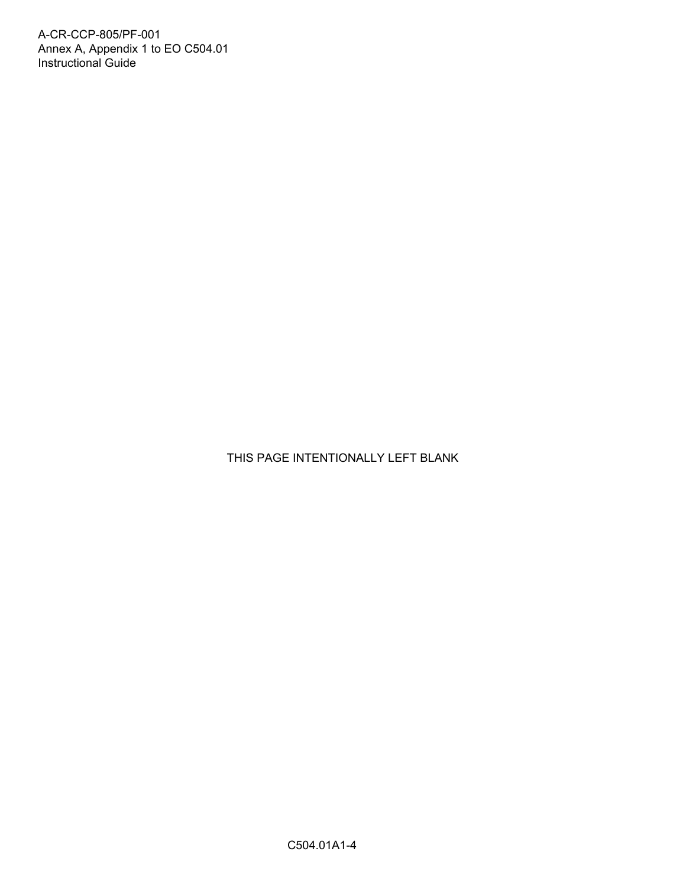A-CR-CCP-805/PF-001 Annex A, Appendix 1 to EO C504.01 Instructional Guide

THIS PAGE INTENTIONALLY LEFT BLANK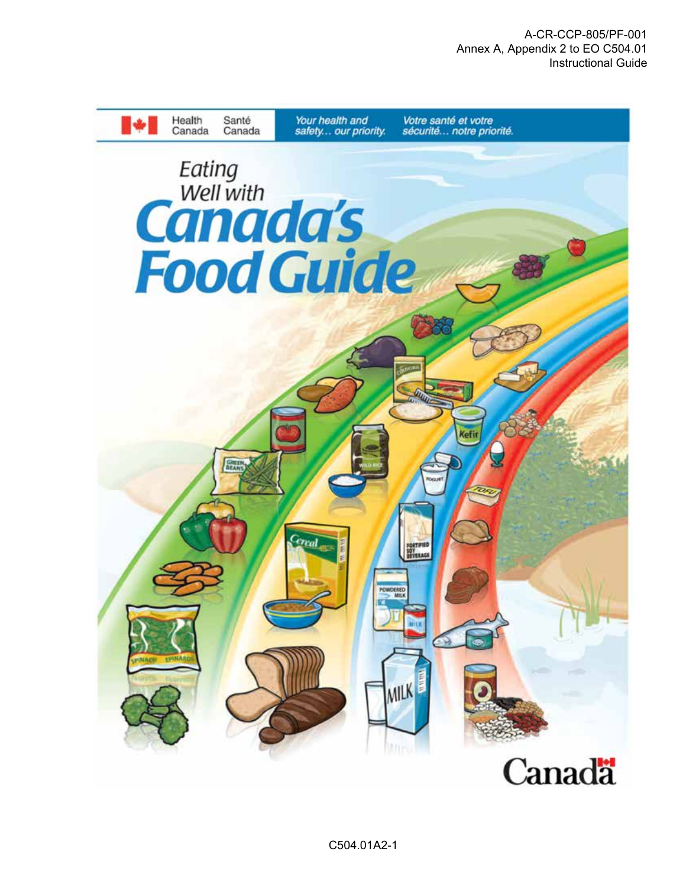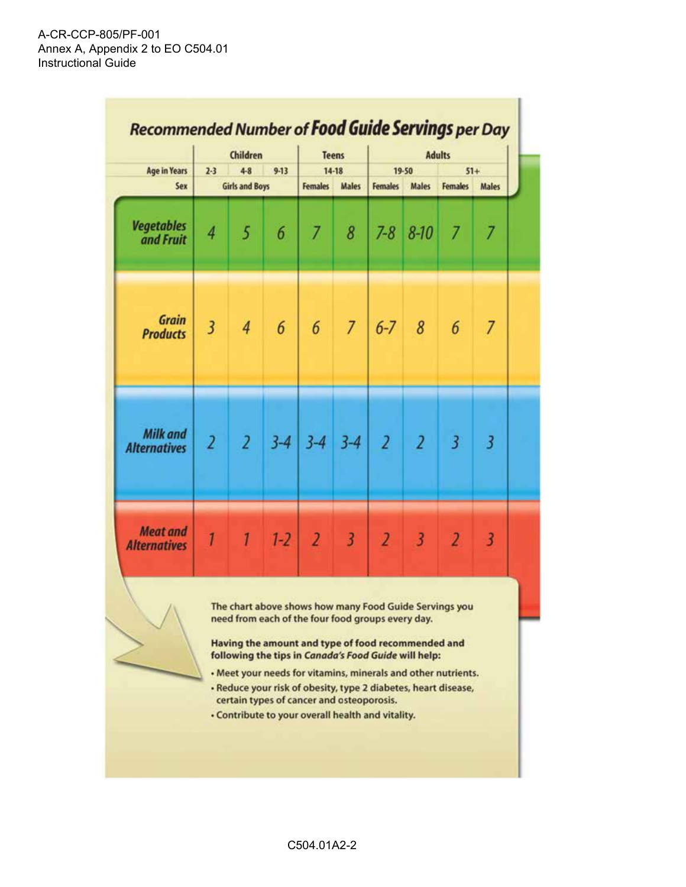|                                        | <b>Children</b> |                                  |          |                                           | <b>Teens</b>                      |                                                                                                                                                                                                                      |                                         | <b>Adults</b>                                                                                                                                                                             |                         |  |
|----------------------------------------|-----------------|----------------------------------|----------|-------------------------------------------|-----------------------------------|----------------------------------------------------------------------------------------------------------------------------------------------------------------------------------------------------------------------|-----------------------------------------|-------------------------------------------------------------------------------------------------------------------------------------------------------------------------------------------|-------------------------|--|
| <b>Age in Years</b><br>Sex             | $2-3$           | $4 - 8$<br><b>Girls and Boys</b> | $9 - 13$ |                                           | $14 - 18$<br><b>Females</b> Males |                                                                                                                                                                                                                      | 19-50<br><b>Females</b><br><b>Males</b> |                                                                                                                                                                                           | $51+$<br><b>Males</b>   |  |
| <b>Vegetables</b><br>and Fruit         | $\overline{4}$  | 5                                | 6        | 7                                         | 8                                 |                                                                                                                                                                                                                      | $7 - 8$ $8 - 10$ 7                      |                                                                                                                                                                                           | 7                       |  |
| <b>Grain</b><br><b>Products</b>        | $\overline{3}$  | $\vert$ 4                        | 6        |                                           | $6 \quad 7$                       | $6 - 7$                                                                                                                                                                                                              | 8 <sup>8</sup>                          | 6                                                                                                                                                                                         | $\overline{7}$          |  |
| Milk and<br><b>Alternatives</b>        |                 |                                  |          |                                           |                                   | $2 \begin{array}{ c c c c c c } \hline 2 & 2 & 3-4 & 3-4 & 2 & 2 \ \hline \end{array}$                                                                                                                               |                                         | $\overline{3}$                                                                                                                                                                            | $\mathbf{3}$            |  |
| <b>Meat and</b><br><b>Alternatives</b> | $\mathbf{1}$    | $\mathcal{I}$                    |          | $1-2$ 2                                   | 3                                 |                                                                                                                                                                                                                      | $2 \mid 3 \mid$                         | $\overline{2}$                                                                                                                                                                            | $\overline{\mathbf{3}}$ |  |
|                                        |                 |                                  |          | certain types of cancer and osteoporosis. |                                   | need from each of the four food groups every day.<br>Having the amount and type of food recommended and<br>following the tips in Canada's Food Guide will help:<br>. Contribute to your overall health and vitality. |                                         | The chart above shows how many Food Guide Servings you<br>. Meet your needs for vitamins, minerals and other nutrients.<br>· Reduce your risk of obesity, type 2 diabetes, heart disease, |                         |  |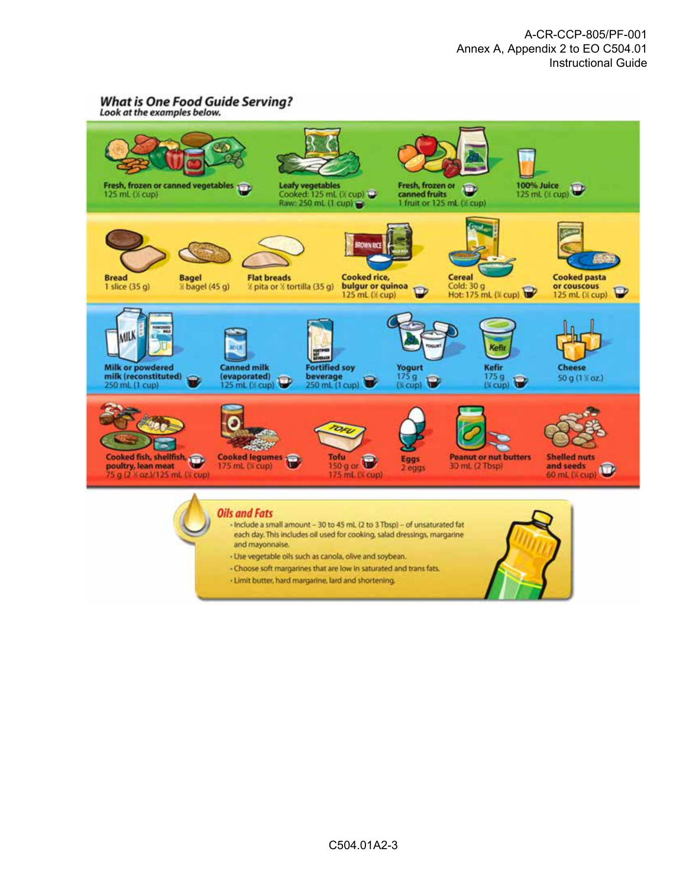#### **What is One Food Guide Serving?**

Look at the examples below.

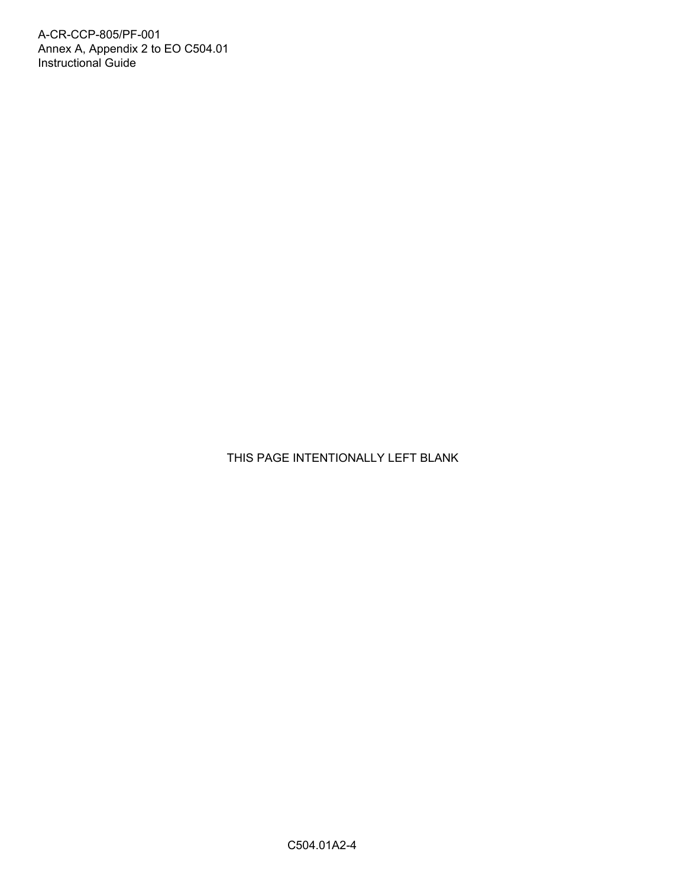A-CR-CCP-805/PF-001 Annex A, Appendix 2 to EO C504.01 Instructional Guide

THIS PAGE INTENTIONALLY LEFT BLANK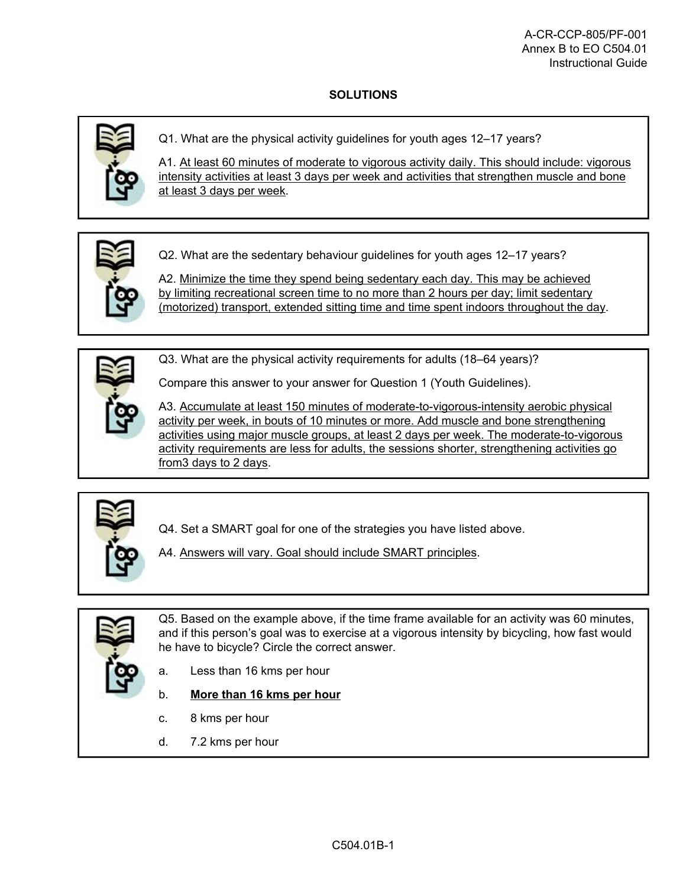#### **SOLUTIONS**



Q1. What are the physical activity guidelines for youth ages 12–17 years?

A1. At least 60 minutes of moderate to vigorous activity daily. This should include: vigorous intensity activities at least 3 days per week and activities that strengthen muscle and bone at least 3 days per week.



Q2. What are the sedentary behaviour guidelines for youth ages 12–17 years?

A2. Minimize the time they spend being sedentary each day. This may be achieved by limiting recreational screen time to no more than 2 hours per day; limit sedentary (motorized) transport, extended sitting time and time spent indoors throughout the day.



Q3. What are the physical activity requirements for adults (18–64 years)?

Compare this answer to your answer for Question 1 (Youth Guidelines).

A3. Accumulate at least 150 minutes of moderate-to-vigorous-intensity aerobic physical activity per week, in bouts of 10 minutes or more. Add muscle and bone strengthening activities using major muscle groups, at least 2 days per week. The moderate-to-vigorous activity requirements are less for adults, the sessions shorter, strengthening activities go from3 days to 2 days.



Q4. Set a SMART goal for one of the strategies you have listed above.

A4. Answers will vary. Goal should include SMART principles.



Q5. Based on the example above, if the time frame available for an activity was 60 minutes, and if this person's goal was to exercise at a vigorous intensity by bicycling, how fast would he have to bicycle? Circle the correct answer.

- a. Less than 16 kms per hour
- b. **More than 16 kms per hour**
- c. 8 kms per hour
- d. 7.2 kms per hour